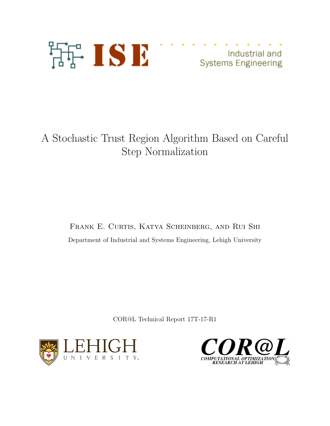

Industrial and **Systems Engineering** 

# A Stochastic Trust Region Algorithm Based on Careful Step Normalization

Frank E. Curtis, Katya Scheinberg, and Rui Shi Department of Industrial and Systems Engineering, Lehigh University

COR@L Technical Report 17T-17-R1



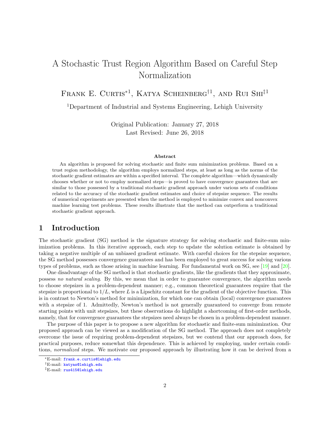## A Stochastic Trust Region Algorithm Based on Careful Step Normalization

FRANK E. CURTIS<sup>\*1</sup>, KATYA SCHEINBERG<sup>†1</sup>, AND RUI SHI<sup>‡1</sup>

<sup>1</sup>Department of Industrial and Systems Engineering, Lehigh University

Original Publication: January 27, 2018 Last Revised: June 26, 2018

#### Abstract

An algorithm is proposed for solving stochastic and finite sum minimization problems. Based on a trust region methodology, the algorithm employs normalized steps, at least as long as the norms of the stochastic gradient estimates are within a specified interval. The complete algorithm—which dynamically chooses whether or not to employ normalized steps—is proved to have convergence guarantees that are similar to those possessed by a traditional stochastic gradient approach under various sets of conditions related to the accuracy of the stochastic gradient estimates and choice of stepsize sequence. The results of numerical experiments are presented when the method is employed to minimize convex and nonconvex machine learning test problems. These results illustrate that the method can outperform a traditional stochastic gradient approach.

## 1 Introduction

The stochastic gradient (SG) method is the signature strategy for solving stochastic and finite-sum minimization problems. In this iterative approach, each step to update the solution estimate is obtained by taking a negative multiple of an unbiased gradient estimate. With careful choices for the stepsize sequence, the SG method possesses convergence guarantees and has been employed to great success for solving various types of problems, such as those arising in machine learning. For fundamental work on SG, see [\[19\]](#page-24-0) and [\[20\]](#page-24-1).

One disadvantage of the SG method is that stochastic gradients, like the gradients that they approximate, possess no natural scaling. By this, we mean that in order to guarantee convergence, the algorithm needs to choose stepsizes in a problem-dependent manner; e.g., common theoretical guarantees require that the stepsize is proportional to  $1/L$ , where L is a Lipschitz constant for the gradient of the objective function. This is in contrast to Newton's method for minimization, for which one can obtain (local) convergence guarantees with a stepsize of 1. Admittedly, Newton's method is not generally guaranteed to converge from remote starting points with unit stepsizes, but these observations do highlight a shortcoming of first-order methods, namely, that for convergence guarantees the stepsizes need always be chosen in a problem-dependent manner.

The purpose of this paper is to propose a new algorithm for stochastic and finite-sum minimization. Our proposed approach can be viewed as a modification of the SG method. The approach does not completely overcome the issue of requiring problem-dependent stepsizes, but we contend that our approach does, for practical purposes, reduce somewhat this dependence. This is achieved by employing, under certain conditions, normalized steps. We motivate our proposed approach by illustrating how it can be derived from a

<sup>∗</sup>E-mail: [frank.e.curtis@lehigh.edu](mailto:frank.e.curtis@lehigh.edu)

<sup>†</sup>E-mail: [katyas@lehigh.edu](mailto:katyas@lehigh.edu)

<sup>‡</sup>E-mail: [rus415@lehigh.edu](mailto:rus415@lehigh.edu)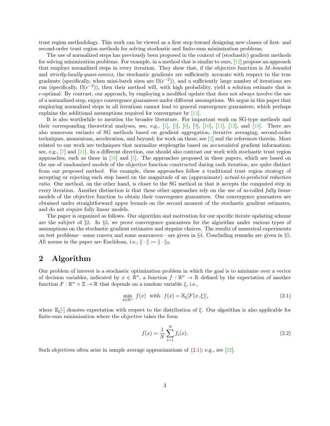trust region methodology. This work can be viewed as a first step toward designing new classes of first- and second-order trust region methods for solving stochastic and finite-sum minimization problems.

The use of normalized steps has previously been proposed in the context of (stochastic) gradient methods for solving minimization problems. For example, in a method that is similar to ours, [\[12\]](#page-23-0) propose an approach that employs normalized steps in every iteration. They show that, if the objective function is  $M$ -bounded and strictly-locally-quasi-convex, the stochastic gradients are sufficiently accurate with respect to the true gradients (specifically, when mini-batch sizes are  $\Omega(\epsilon^{-2})$ ), and a sufficiently large number of iterations are run (specifically,  $\Omega(\epsilon^{-2})$ ), then their method will, with high probability, yield a solution estimate that is  $\epsilon$ -optimal. By contrast, our approach, by employing a modified update that does not always involve the use of a normalized step, enjoys convergence guarantees under different assumptions. We argue in this paper that employing normalized steps in all iterations cannot lead to general convergence guarantees, which perhaps explains the additional assumptions required for convergence by [\[12\]](#page-23-0).

It is also worthwhile to mention the broader literature. For important work on SG-type methods and their corresponding theoretical analyses, see, e.g.,  $[1]$ ,  $[3]$ ,  $[6]$ ,  $[9]$ ,  $[10]$ ,  $[11]$ ,  $[13]$ , and  $[18]$ . There are also numerous variants of SG methods based on gradient aggregation, iterative averaging, second-order techniques, momentum, acceleration, and beyond; for work on these, see [\[2\]](#page-23-8) and the references therein. More related to our work are techniques that normalize steplengths based on accumulated gradient information; see, e.g., [\[7\]](#page-23-9) and [\[21\]](#page-24-3). In a different direction, one should also contrast our work with stochastic trust region approaches, such as those in  $[16]$  and  $[5]$ . The approaches proposed in these papers, which are based on the use of randomized models of the objective function constructed during each iteration, are quite distinct from our proposed method. For example, these approaches follow a traditional trust region strategy of accepting or rejecting each step based on the magnitude of an (approximate) actual-to-predicted reduction ratio. Our method, on the other hand, is closer to the SG method in that it accepts the computed step in every iteration. Another distinction is that these other approaches rely on the use of so-called *fully linear* models of the objective function to obtain their convergence guarantees. Our convergence guarantees are obtained under straightforward upper bounds on the second moment of the stochastic gradient estimates, and do not require fully linear models.

The paper is organized as follows. Our algorithm and motivation for our specific iterate updating scheme are the subject of §[2.](#page-2-0) In §[3,](#page-4-0) we prove convergence guarantees for the algorithm under various types of assumptions on the stochastic gradient estimates and stepsize choices. The results of numerical experiments on test problems—some convex and some nonconvex—are given in §[4.](#page-16-0) Concluding remarks are given in §[5.](#page-22-0) All norms in the paper are Euclidean, i.e.,  $\|\cdot\| := \|\cdot\|_2$ .

## <span id="page-2-0"></span>2 Algorithm

Our problem of interest is a stochastic optimization problem in which the goal is to minimize over a vector of decision variables, indicated by  $x \in \mathbb{R}^n$ , a function  $f : \mathbb{R}^n \to \mathbb{R}$  defined by the expectation of another function  $F: \mathbb{R}^n \times \Xi \to \mathbb{R}$  that depends on a random variable  $\xi$ , i.e.,

<span id="page-2-1"></span>
$$
\min_{x \in \mathbb{R}^n} f(x) \quad \text{with} \quad f(x) = \mathbb{E}_{\xi}[F(x,\xi)],\tag{2.1}
$$

where  $\mathbb{E}_{\xi}[\cdot]$  denotes expectation with respect to the distribution of  $\xi$ . Our algorithm is also applicable for finite-sum minimization where the objective takes the form

<span id="page-2-2"></span>
$$
f(x) = \frac{1}{N} \sum_{i=1}^{N} f_i(x).
$$
 (2.2)

Such objectives often arise in sample average approximations of  $(2.1)$ ; e.g., see [\[22\]](#page-24-5).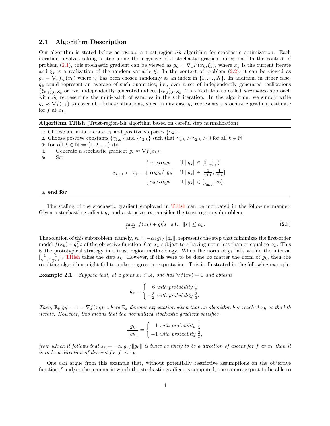## 2.1 Algorithm Description

Our algorithm is stated below as TRish, a trust-region-ish algorithm for stochastic optimization. Each iteration involves taking a step along the negative of a stochastic gradient direction. In the context of problem [\(2.1\)](#page-2-1), this stochastic gradient can be viewed as  $g_k = \nabla_x F(x_k, \xi_k)$ , where  $x_k$  is the current iterate and  $\xi_k$  is a realization of the random variable  $\xi$ . In the context of problem [\(2.2\)](#page-2-2), it can be viewed as  $g_k = \nabla_x f_{i_k}(x_k)$  where  $i_k$  has been chosen randomly as an index in  $\{1, \ldots, N\}$ . In addition, in either case,  $g_k$  could represent an average of such quantities, i.e., over a set of independently generated realizations  $\{\xi_{k,j}\}_{j\in\mathcal{S}_k}$  or over independently generated indices  $\{i_{k,j}\}_{j\in\mathcal{S}_k}$ . This leads to a so-called *mini-batch* approach with  $\mathcal{S}_k$  representing the mini-batch of samples in the kth iteration. In the algorithm, we simply write  $g_k \approx \nabla f(x_k)$  to cover all of these situations, since in any case  $g_k$  represents a stochastic gradient estimate for f at  $x_k$ .

#### <span id="page-3-0"></span>Algorithm TRish (Trust-region-ish algorithm based on careful step normalization)

- 1: Choose an initial iterate  $x_1$  and positive stepsizes  $\{\alpha_k\}$ .
- 2: Choose positive constants  $\{\gamma_{1,k}\}$  and  $\{\gamma_{2,k}\}$  such that  $\gamma_{1,k} > \gamma_{2,k} > 0$  for all  $k \in \mathbb{N}$ .
- 3: for all  $k \in \mathbb{N} := \{1, 2, ...\}$  do
- 4: Generate a stochastic gradient  $g_k \approx \nabla f(x_k)$ .
- 5: Set

$$
x_{k+1} \leftarrow x_k - \begin{cases} \gamma_{1,k} \alpha_k g_k & \text{if } \|g_k\| \in [0, \frac{1}{\gamma_{1,k}}) \\ \alpha_k g_k / \|g_k\| & \text{if } \|g_k\| \in [\frac{1}{\gamma_{1,k}}, \frac{1}{\gamma_{2,k}}] \\ \gamma_{2,k} \alpha_k g_k & \text{if } \|g_k\| \in (\frac{1}{\gamma_{2,k}}, \infty). \end{cases}
$$

#### 6: end for

The scaling of the stochastic gradient employed in [TRish](#page-3-0) can be motivated in the following manner. Given a stochastic gradient  $g_k$  and a stepsize  $\alpha_k$ , consider the trust region subproblem

<span id="page-3-1"></span>
$$
\min_{s \in \mathbb{R}^n} f(x_k) + g_k^T s \quad \text{s.t.} \quad ||s|| \le \alpha_k. \tag{2.3}
$$

The solution of this subproblem, namely,  $s_k = -\alpha_k g_k / ||g_k||$ , represents the step that minimizes the first-order model  $f(x_k) + g_k^T s$  of the objective function f at  $x_k$  subject to s having norm less than or equal to  $\alpha_k$ . This is the prototypical strategy in a trust region methodology. When the norm of  $g_k$  falls within the interval  $[\frac{1}{\gamma_{1,k}}, \frac{1}{\gamma_{2,k}}]$ , [TRish](#page-3-0) takes the step  $s_k$ . However, if this were to be done no matter the norm of  $g_k$ , then the resulting algorithm might fail to make progress in expectation. This is illustrated in the following example.

<span id="page-3-2"></span>**Example 2.1.** Suppose that, at a point  $x_k \in \mathbb{R}$ , one has  $\nabla f(x_k) = 1$  and obtains

$$
g_k = \begin{cases} 6 & \text{with probability } \frac{1}{3} \\ -\frac{3}{2} & \text{with probability } \frac{2}{3}. \end{cases}
$$

Then,  $\mathbb{E}_k[g_k] = 1 = \nabla f(x_k)$ , where  $\mathbb{E}_k$  denotes expectation given that an algorithm has reached  $x_k$  as the kth iterate. However, this means that the normalized stochastic gradient satisfies

$$
\frac{g_k}{\|g_k\|} = \begin{cases} 1 & \text{with probability } \frac{1}{3} \\ -1 & \text{with probability } \frac{2}{3}, \end{cases}
$$

from which it follows that  $s_k = -\alpha_k g_k / \|g_k\|$  is twice as likely to be a direction of ascent for f at  $x_k$  than it is to be a direction of descent for f at  $x_k$ .

One can argue from this example that, without potentially restrictive assumptions on the objective function  $f$  and/or the manner in which the stochastic gradient is computed, one cannot expect to be able to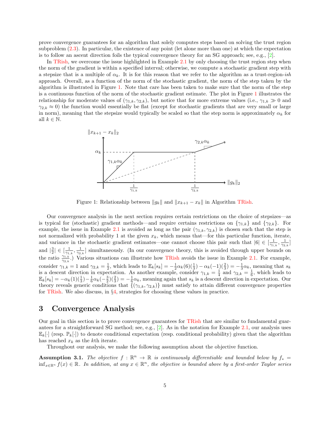prove convergence guarantees for an algorithm that solely computes steps based on solving the trust region subproblem [\(2.3\)](#page-3-1). In particular, the existence of any point (let alone more than one) at which the expectation is to follow an ascent direction foils the typical convergence theory for an SG approach; see, e.g.,  $[2]$ .

In [TRish,](#page-3-0) we overcome the issue highlighted in Example [2.1](#page-3-2) by only choosing the trust region step when the norm of the gradient is within a specified interval; otherwise, we compute a stochastic gradient step with a stepsize that is a multiple of  $\alpha_k$ . It is for this reason that we refer to the algorithm as a trust-region-ish approach. Overall, as a function of the norm of the stochastic gradient, the norm of the step taken by the algorithm is illustrated in Figure [1.](#page-4-1) Note that care has been taken to make sure that the norm of the step is a continuous function of the norm of the stochastic gradient estimate. The plot in Figure [1](#page-4-1) illustrates the relationship for moderate values of  $(\gamma_{1,k}, \gamma_{2,k})$ , but notice that for more extreme values (i.e.,  $\gamma_{1,k} \gg 0$  and  $\gamma_{2,k} \approx 0$ ) the function would essentially be flat (except for stochastic gradients that are very small or large in norm), meaning that the stepsize would typically be scaled so that the step norm is approximately  $\alpha_k$  for all  $k \in \mathbb{N}$ .

<span id="page-4-1"></span>

Figure 1: Relationship between  $||g_k||$  and  $||x_{k+1} - x_k||$  in Algorithm [TRish.](#page-3-0)

Our convergence analysis in the next section requires certain restrictions on the choice of stepsizes—as is typical for (stochastic) gradient methods—and require certains restrictions on  $\{\gamma_{1,k}\}\$  and  $\{\gamma_{2,k}\}\$ . For example, the issue in Example [2.1](#page-3-2) is avoided as long as the pair  $(\gamma_{1,k}, \gamma_{2,k})$  is chosen such that the step is not normalized with probability 1 at the given  $x_k$ , which means that—for this particular function, iterate, and variance in the stochastic gradient estimates—one cannot choose this pair such that  $|6| \in [\frac{1}{\gamma_{1,k}}, \frac{1}{\gamma_{2,k}}]$ and  $\left|\frac{3}{2}\right| \in \left[\frac{1}{\gamma_{1,k}}, \frac{1}{\gamma_{2,k}}\right]$  simultaneously. (In our convergence theory, this is avoided through upper bounds on the ratio  $\frac{\gamma_{1,k}}{\gamma_{2,k}}$ .) Various situations can illustrate how [TRish](#page-3-0) avoids the issue in Example [2.1.](#page-3-2) For example, consider  $\gamma_{1,k} = 1$  and  $\gamma_{2,k} = \frac{1}{2}$ , which leads to  $\mathbb{E}_k[s_k] = -\frac{1}{2}\alpha_k(6)(\frac{1}{3}) - \alpha_k(-1)(\frac{2}{3}) = -\frac{1}{3}\alpha_k$ , meaning that  $s_k$ is a descent direction in expectation. As another example, consider  $\gamma_{1,k} = \frac{1}{4}$  and  $\gamma_{2,k} = \frac{1}{6}$ , which leads to  $\mathbb{E}_k[s_k] = -\alpha_k(1)(\frac{1}{3}) - \frac{1}{6}\alpha_k(-\frac{3}{2})(\frac{2}{3}) = -\frac{1}{6}\alpha_k$ , meaning again that  $s_k$  is a descent direction in expectation. Our theory reveals generic conditions that  $\{(\gamma_{1,k}, \gamma_{2,k})\}$  must satisfy to attain different convergence properties for [TRish.](#page-3-0) We also discuss, in  $\S4$ , strategies for choosing these values in practice.

## <span id="page-4-0"></span>3 Convergence Analysis

Our goal in this section is to prove convergence guarantees for [TRish](#page-3-0) that are similar to fundamental guarantees for a straightforward SG method; see, e.g., [\[2\]](#page-23-8). As in the notation for Example [2.1,](#page-3-2) our analysis uses  $\mathbb{E}_k[\cdot]$  (resp.  $\mathbb{P}_k[\cdot]$ ) to denote conditional expectation (resp. conditional probability) given that the algorithm has reached  $x_k$  as the kth iterate.

Throughout our analysis, we make the following assumption about the objective function.

<span id="page-4-2"></span>**Assumption 3.1.** The objective  $f : \mathbb{R}^n \to \mathbb{R}$  is continuously differentiable and bounded below by  $f_* =$  $inf_{x\in\mathbb{R}^n} f(x) \in \mathbb{R}$ . In addition, at any  $x \in \mathbb{R}^n$ , the objective is bounded above by a first-order Taylor series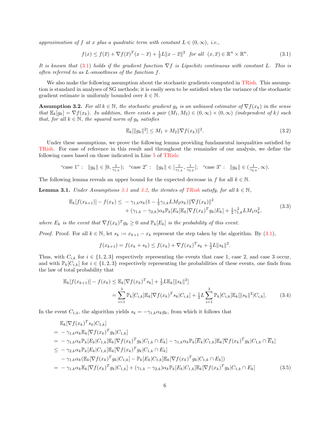approximation of f at x plus a quadratic term with constant  $L \in (0, \infty)$ , i.e.,

<span id="page-5-0"></span>
$$
f(x) \le f(\overline{x}) + \nabla f(\overline{x})^T (x - \overline{x}) + \frac{1}{2}L \|x - \overline{x}\|^2 \text{ for all } (x, \overline{x}) \in \mathbb{R}^n \times \mathbb{R}^n.
$$
 (3.1)

It is known that [\(3.1\)](#page-5-0) holds if the gradient function  $\nabla f$  is Lipschitz continuous with constant L. This is often referred to as L-smoothness of the function f.

We also make the following assumption about the stochastic gradients computed in [TRish.](#page-3-0) This assumption is standard in analyses of SG methods; it is easily seen to be satisfied when the variance of the stochastic gradient estimate is uniformly bounded over  $k \in \mathbb{N}$ .

<span id="page-5-1"></span>**Assumption 3.2.** For all  $k \in \mathbb{N}$ , the stochastic gradient  $g_k$  is an unbiased estimator of  $\nabla f(x_k)$  in the sense that  $\mathbb{E}_k[g_k] = \nabla f(x_k)$ . In addition, there exists a pair  $(M_1, M_2) \in (0, \infty) \times (0, \infty)$  (independent of k) such that, for all  $k \in \mathbb{N}$ , the squared norm of  $g_k$  satisfies

<span id="page-5-3"></span>
$$
\mathbb{E}_k[\|g_k\|^2] \le M_1 + M_2 \|\nabla f(x_k)\|^2. \tag{3.2}
$$

Under these assumptions, we prove the following lemma providing fundamental inequalities satisfied by [TRish.](#page-3-0) For ease of reference in this result and throughout the remainder of our analysis, we define the following cases based on those indicated in Line [5](#page-3-0) of [TRish:](#page-3-0)

"case 1" : 
$$
||g_k|| \in [0, \frac{1}{\gamma_{1,k}});
$$
 "case 2" :  $||g_k|| \in [\frac{1}{\gamma_{1,k}}, \frac{1}{\gamma_{2,k}}];$  "case 3" :  $||g_k|| \in (\frac{1}{\gamma_{2,k}}, \infty).$ 

<span id="page-5-4"></span>The following lemma reveals an upper bound for the expected decrease in f for all  $k \in \mathbb{N}$ .

**Lemma [3.1](#page-4-2).** Under Assumptions 3.1 and [3.2,](#page-5-1) the iterates of [TRish](#page-3-0) satisfy, for all  $k \in \mathbb{N}$ ,

$$
\mathbb{E}_{k}[f(x_{k+1})] - f(x_{k}) \leq -\gamma_{1,k}\alpha_{k}(1 - \frac{1}{2}\gamma_{1,k}LM_{2}\alpha_{k})\|\nabla f(x_{k})\|^{2} + (\gamma_{1,k} - \gamma_{2,k})\alpha_{k}\mathbb{P}_{k}[E_{k}]\mathbb{E}_{k}[\nabla f(x_{k})^{T}g_{k}|E_{k}] + \frac{1}{2}\gamma_{1,k}^{2}LM_{1}\alpha_{k}^{2},
$$
\n(3.3)

where  $E_k$  is the event that  $\nabla f(x_k)^T g_k \geq 0$  and  $\mathbb{P}_k[E_k]$  is the probability of this event.

*Proof.* Proof. For all  $k \in \mathbb{N}$ , let  $s_k := x_{k+1} - x_k$  represent the step taken by the algorithm. By [\(3.1\)](#page-5-0),

<span id="page-5-2"></span>
$$
f(x_{k+1}) = f(x_k + s_k) \le f(x_k) + \nabla f(x_k)^T s_k + \frac{1}{2}L \|s_k\|^2.
$$

Thus, with  $C_{i,k}$  for  $i \in \{1,2,3\}$  respectively representing the events that case 1, case 2, and case 3 occur, and with  $\mathbb{P}_k[C_{i,k}]$  for  $i \in \{1,2,3\}$  respectively representing the probabilities of these events, one finds from the law of total probability that

$$
\mathbb{E}_{k}[f(x_{k+1})] - f(x_{k}) \leq \mathbb{E}_{k}[\nabla f(x_{k})^{T} s_{k}] + \frac{1}{2} L \mathbb{E}_{k}[\|s_{k}\|^{2}]
$$
\n
$$
= \sum_{i=1}^{3} \mathbb{P}_{k}[C_{i,k}] \mathbb{E}_{k}[\nabla f(x_{k})^{T} s_{k} | C_{i,k}] + \frac{1}{2} L \sum_{i=1}^{3} \mathbb{P}_{k}[C_{i,k}] \mathbb{E}_{k}[\|s_{k}\|^{2} | C_{i,k}]. \tag{3.4}
$$

In the event  $C_{1,k}$ , the algorithm yields  $s_k = -\gamma_{1,k} \alpha_k g_k$ , from which it follows that

$$
\mathbb{E}_{k}[\nabla f(x_{k})^{T} s_{k} | C_{1,k}]
$$
\n
$$
= -\gamma_{1,k} \alpha_{k} \mathbb{E}_{k}[\nabla f(x_{k})^{T} g_{k} | C_{1,k}]
$$
\n
$$
= -\gamma_{1,k} \alpha_{k} \mathbb{P}_{k}[\nabla f(x_{k})^{T} g_{k} | C_{1,k}]
$$
\n
$$
= -\gamma_{1,k} \alpha_{k} \mathbb{P}_{k}[\nabla f(x_{k})^{T} g_{k} | C_{1,k}^{T} g_{k} | C_{1,k}^{T} G_{k}] - \gamma_{1,k} \alpha_{k} \mathbb{P}_{k}[\nabla f(x_{k})^{T} g_{k} | C_{1,k}^{T} G_{k}]
$$
\n
$$
\leq -\gamma_{2,k} \alpha_{k} \mathbb{P}_{k}[\nabla f(x_{k})^{T} g_{k} | C_{1,k}] - \mathbb{P}_{k}[\nabla f(x_{k})^{T} g_{k} | C_{1,k}^{T} G_{k}] - \gamma_{1,k} \alpha_{k} (\mathbb{E}_{k}[\nabla f(x_{k})^{T} g_{k} | C_{1,k}] - \mathbb{P}_{k}[\nabla f(x_{k})^{T} g_{k} | C_{1,k}] \mathbb{E}_{k}[\nabla f(x_{k})^{T} g_{k} | C_{1,k}] + (\gamma_{1,k} - \gamma_{2,k}) \alpha_{k} \mathbb{P}_{k}[\nabla f(x_{k})^{T} g_{k} | C_{1,k}^{T} G_{k}] - \mathbb{E}_{k}[\nabla f(x_{k})^{T} g_{k} | C_{1,k}^{T} G_{k}] - \gamma_{1,k} \alpha_{k} \mathbb{E}_{k}[\nabla f(x_{k})^{T} g_{k} | C_{1,k}] + (\gamma_{1,k} - \gamma_{2,k}) \alpha_{k} \mathbb{P}_{k}[\nabla f(x_{k})^{T} g_{k} | C_{1,k}^{T} G_{k}] - \gamma_{1,k} \alpha_{k} \mathbb{E}_{k}[\nabla f(x_{k})^{T} g_{k}] - \gamma_{1,k} \alpha_{k} \mathbb{E}_{k}[\nabla f(x_{k})^{T} g_{k} | C_{1,k}] + (\gamma_{1,k} - \gamma_{2,k}) \alpha_{k} \mathbb{P}_{k}[\nabla f(x_{k})^{
$$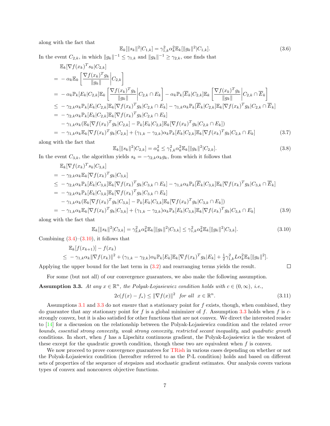along with the fact that

$$
\mathbb{E}_k[\|s_k\|^2|C_{1,k}] = \gamma_{1,k}^2 \alpha_k^2 \mathbb{E}_k[\|g_k\|^2|C_{1,k}].
$$
\n(3.6)

In the event  $C_{2,k}$ , in which  $||g_k||^{-1} \leq \gamma_{1,k}$  and  $||g_k||^{-1} \geq \gamma_{2,k}$ , one finds that

$$
\mathbb{E}_{k}[\nabla f(x_{k})^{T} s_{k} | C_{2,k}] \n= -\alpha_{k} \mathbb{E}_{k} \left[ \frac{\nabla f(x_{k})^{T} g_{k}}{\|g_{k}\|} \Big| C_{2,k} \right] \n= -\alpha_{k} \mathbb{E}_{k} [E_{k} | C_{2,k}] \mathbb{E}_{k} \left[ \frac{\nabla f(x_{k})^{T} g_{k}}{\|g_{k}\|} \Big| C_{2,k} \cap E_{k} \right] - \alpha_{k} \mathbb{P}_{k} [\overline{E}_{k} | C_{2,k}] \mathbb{E}_{k} \left[ \frac{\nabla f(x_{k})^{T} g_{k}}{\|g_{k}\|} \Big| C_{2,k} \cap \overline{E}_{k} \right] \n\leq -\gamma_{2,k} \alpha_{k} \mathbb{P}_{k} [E_{k} | C_{2,k}] \mathbb{E}_{k} [\nabla f(x_{k})^{T} g_{k} | C_{2,k} \cap E_{k}] - \gamma_{1,k} \alpha_{k} \mathbb{P}_{k} [\overline{E}_{k} | C_{2,k}] \mathbb{E}_{k} [\nabla f(x_{k})^{T} g_{k} | C_{2,k} \cap \overline{E}_{k}] \n= -\gamma_{2,k} \alpha_{k} \mathbb{P}_{k} [E_{k} | C_{2,k}] \mathbb{E}_{k} [\nabla f(x_{k})^{T} g_{k} | C_{2,k} \cap E_{k}] \n- \gamma_{1,k} \alpha_{k} (\mathbb{E}_{k} [\nabla f(x_{k})^{T} g_{k} | C_{2,k}] - \mathbb{P}_{k} [E_{k} | C_{2,k}] \mathbb{E}_{k} [\nabla f(x_{k})^{T} g_{k} | C_{2,k} \cap E_{k}] \n= -\gamma_{1,k} \alpha_{k} \mathbb{E}_{k} [\nabla f(x_{k})^{T} g_{k} | C_{2,k}] + (\gamma_{1,k} - \gamma_{2,k}) \alpha_{k} \mathbb{P}_{k} [E_{k} | C_{2,k}] \mathbb{E}_{k} [\nabla f(x_{k})^{T} g_{k} | C_{2,k} \cap E_{k}]
$$
\n(3.7)

along with the fact that

$$
\mathbb{E}_k[\|s_k\|^2 | C_{2,k}] = \alpha_k^2 \le \gamma_{1,k}^2 \alpha_k^2 \mathbb{E}_k[\|g_k\|^2 | C_{2,k}].
$$
\n(3.8)

In the event  $C_{3,k}$ , the algorithm yields  $s_k = -\gamma_{2,k} \alpha_k g_k$ , from which it follows that

$$
\mathbb{E}_{k}[\nabla f(x_{k})^{T} s_{k} | C_{3,k}] \n= -\gamma_{2,k} \alpha_{k} \mathbb{E}_{k}[\nabla f(x_{k})^{T} g_{k} | C_{3,k}] \n\leq -\gamma_{2,k} \alpha_{k} \mathbb{P}_{k} [E_{k} | C_{3,k}] \mathbb{E}_{k}[\nabla f(x_{k})^{T} g_{k} | C_{3,k} \cap E_{k}] - \gamma_{1,k} \alpha_{k} \mathbb{P}_{k} [\overline{E}_{k} | C_{3,k}] \mathbb{E}_{k}[\nabla f(x_{k})^{T} g_{k} | C_{3,k} \cap \overline{E}_{k}] \n= -\gamma_{2,k} \alpha_{k} \mathbb{P}_{k} [E_{k} | C_{3,k}] \mathbb{E}_{k}[\nabla f(x_{k})^{T} g_{k} | C_{3,k} \cap E_{k}] \n- \gamma_{1,k} \alpha_{k} (\mathbb{E}_{k}[\nabla f(x_{k})^{T} g_{k} | C_{3,k}] - \mathbb{P}_{k} [E_{k} | C_{3,k}] \mathbb{E}_{k}[\nabla f(x_{k})^{T} g_{k} | C_{3,k} \cap E_{k}] \n= -\gamma_{1,k} \alpha_{k} \mathbb{E}_{k} [\nabla f(x_{k})^{T} g_{k} | C_{3,k}] + (\gamma_{1,k} - \gamma_{2,k}) \alpha_{k} \mathbb{P}_{k} [E_{k} | C_{3,k}] \mathbb{E}_{k}[\nabla f(x_{k})^{T} g_{k} | C_{3,k} \cap E_{k}]
$$
\n(3.9)

along with the fact that

<span id="page-6-0"></span>
$$
\mathbb{E}_k[\|s_k\|^2 | C_{3,k}] = \gamma_{2,k}^2 \alpha_k^2 \mathbb{E}_k[\|g_k\|^2 | C_{3,k}] \leq \gamma_{1,k}^2 \alpha_k^2 \mathbb{E}_k[\|g_k\|^2 | C_{3,k}].
$$
\n(3.10)

Combining  $(3.4)$ – $(3.10)$ , it follows that

$$
\mathbb{E}_{k}[f(x_{k+1})] - f(x_{k})
$$
  
\n
$$
\leq -\gamma_{1,k}\alpha_{k} \|\nabla f(x_{k})\|^{2} + (\gamma_{1,k} - \gamma_{2,k})\alpha_{k}\mathbb{P}_{k}[E_{k}]\mathbb{E}_{k}[\nabla f(x_{k})^{T}g_{k}|E_{k}] + \frac{1}{2}\gamma_{1,k}^{2}L\alpha_{k}^{2}\mathbb{E}_{k}[\|g_{k}\|^{2}].
$$

Applying the upper bound for the last term in [\(3.2\)](#page-5-3) and rearranging terms yields the result.

For some (but not all) of our convergence guarantees, we also make the following assumption.

<span id="page-6-1"></span>**Assumption 3.3.** At any  $x \in \mathbb{R}^n$ , the Polyak-Lojasiewicz condition holds with  $c \in (0, \infty)$ , i.e.,

<span id="page-6-2"></span>
$$
2c(f(x) - f_*) \le ||\nabla f(x)||^2 \quad \text{for all} \quad x \in \mathbb{R}^n. \tag{3.11}
$$

 $\Box$ 

Assumptions  $3.1$  and  $3.3$  do not ensure that a stationary point for f exists, though, when combined, they do guarantee that any stationary point for f is a global minimizer of f. Assumption [3.3](#page-6-1) holds when f is  $c$ strongly convex, but it is also satisfied for other functions that are not convex. We direct the interested reader to [\[14\]](#page-23-11) for a discussion on the relationship between the Polyak-Lojasiewicz condition and the related *error* bounds, essential strong convexity, weak strong convexity, restricted secant inequality, and quadratic growth conditions. In short, when f has a Lipschitz continuous gradient, the Polyak-Lojasiewicz is the weakest of these except for the quadratic growth condition, though these two are equivalent when  $f$  is convex.

We now proceed to prove convergence guarantees for [TRish](#page-3-0) in various cases depending on whether or not the Polyak- Lojasiewicz condition (hereafter referred to as the P-L condition) holds and based on different sets of properties of the sequence of stepsizes and stochastic gradient estimates. Our analysis covers various types of convex and nonconvex objective functions.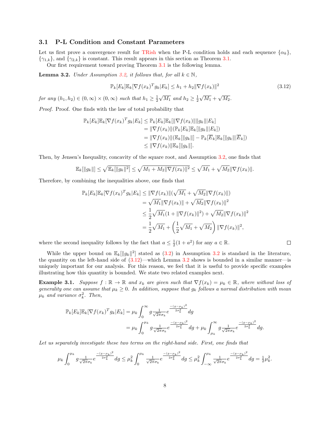## <span id="page-7-3"></span>3.1 P-L Condition and Constant Parameters

Let us first prove a convergence result for [TRish](#page-3-0) when the P-L condition holds and each sequence  $\{\alpha_k\}$ ,  $\{\gamma_{1,k}\}\$ , and  $\{\gamma_{2,k}\}\$ is constant. This result appears in this section as Theorem [3.1.](#page-8-0)

Our first requirement toward proving Theorem [3.1](#page-8-0) is the following lemma.

<span id="page-7-0"></span>**Lemma 3.2.** Under Assumption [3.2,](#page-5-1) it follows that, for all  $k \in \mathbb{N}$ ,

<span id="page-7-1"></span>
$$
\mathbb{P}_k[E_k] \mathbb{E}_k[\nabla f(x_k)^T g_k | E_k] \le h_1 + h_2 \|\nabla f(x_k)\|^2
$$
\n(3.12)

 $\Box$ 

for any  $(h_1, h_2) \in (0, \infty) \times (0, \infty)$  such that  $h_1 \geq \frac{1}{2}$  $\sqrt{M_1}$  and  $h_2 \geq \frac{1}{2}$  $\sqrt{M_1} + \sqrt{M_2}.$ 

Proof. Proof. One finds with the law of total probability that

$$
\mathbb{P}_k[E_k] \mathbb{E}_k[\nabla f(x_k)^T g_k | E_k] \leq \mathbb{P}_k[E_k] \mathbb{E}_k[\|\nabla f(x_k)\| \|g_k\| | E_k]
$$
  
\n
$$
= \|\nabla f(x_k)\| (\mathbb{P}_k[E_k] \mathbb{E}_k[\|g_k\|] E_k])
$$
  
\n
$$
= \|\nabla f(x_k)\| (\mathbb{E}_k[\|g_k\|] - \mathbb{P}_k[\overline{E}_k] \mathbb{E}_k[\|g_k\|] \overline{E}_k])
$$
  
\n
$$
\leq \|\nabla f(x_k)\| \mathbb{E}_k[\|g_k\|].
$$

Then, by Jensen's Inequality, concavity of the square root, and Assumption [3.2,](#page-5-1) one finds that

$$
\mathbb{E}_k[\|g_k\|] \leq \sqrt{\mathbb{E}_k[\|g_k\|^2]} \leq \sqrt{M_1 + M_2 \|\nabla f(x_k)\|^2} \leq \sqrt{M_1} + \sqrt{M_2} \|\nabla f(x_k)\|.
$$

Therefore, by combining the inequalities above, one finds that

$$
\mathbb{P}_k[E_k] \mathbb{E}_k[\nabla f(x_k)^T g_k | E_k] \leq \|\nabla f(x_k)\|(\sqrt{M_1} + \sqrt{M_2} \|\nabla f(x_k)\|)
$$
  
\n
$$
= \sqrt{M_1} \|\nabla f(x_k)\| + \sqrt{M_2} \|\nabla f(x_k)\|^2
$$
  
\n
$$
\leq \frac{1}{2} \sqrt{M_1} (1 + \|\nabla f(x_k)\|^2) + \sqrt{M_2} \|\nabla f(x_k)\|^2
$$
  
\n
$$
= \frac{1}{2} \sqrt{M_1} + \left(\frac{1}{2} \sqrt{M_1} + \sqrt{M_2}\right) \|\nabla f(x_k)\|^2,
$$

where the second inequality follows by the fact that  $a \leq \frac{1}{2}(1 + a^2)$  for any  $a \in \mathbb{R}$ .

While the upper bound on  $\mathbb{E}_k[\Vert g_k \Vert^2]$  stated as  $(3.2)$  in Assumption [3.2](#page-7-0) is standard in the literature, the quantity on the left-hand side of [\(3.12\)](#page-7-1)—which Lemma [3.2](#page-7-0) shows is bounded in a similar manner—is uniquely important for our analysis. For this reason, we feel that it is useful to provide specific examples illustrating how this quantity is bounded. We state two related examples next.

<span id="page-7-2"></span>**Example 3.1.** Suppose  $f : \mathbb{R} \to \mathbb{R}$  and  $x_k$  are given such that  $\nabla f(x_k) = \mu_k \in \mathbb{R}$ , where without loss of generality one can assume that  $\mu_k \geq 0$ . In addition, suppose that  $g_k$  follows a normal distribution with mean  $\mu_k$  and variance  $\sigma_k^2$ . Then,

$$
\mathbb{P}_{k}[E_{k}]\mathbb{E}_{k}[\nabla f(x_{k})^{T} g_{k}|E_{k}] = \mu_{k} \int_{0}^{\infty} g \frac{1}{\sqrt{2\pi}\sigma_{k}} e^{-\frac{(g-\mu_{k})^{2}}{2\sigma_{k}^{2}}} dg
$$
  
=  $\mu_{k} \int_{0}^{\mu_{k}} g \frac{1}{\sqrt{2\pi}\sigma_{k}} e^{-\frac{(g-\mu_{k})^{2}}{2\sigma_{k}^{2}}} dg + \mu_{k} \int_{\mu_{k}}^{\infty} g \frac{1}{\sqrt{2\pi}\sigma_{k}} e^{-\frac{(g-\mu_{k})^{2}}{2\sigma_{k}^{2}}} dg.$ 

Let us separately investigate these two terms on the right-hand side. First, one finds that

$$
\mu_k \int_0^{\mu_k} g \frac{1}{\sqrt{2\pi}\sigma_k} e^{-\frac{(g-\mu_k)^2}{2\sigma_k^2}} dg \leq \mu_k^2 \int_0^{\mu_k} \frac{1}{\sqrt{2\pi}\sigma_k} e^{-\frac{(g-\mu_k)^2}{2\sigma_k^2}} dg \leq \mu_k^2 \int_{-\infty}^{\mu_k} \frac{1}{\sqrt{2\pi}\sigma_k} e^{-\frac{-(g-\mu_k)^2}{2\sigma_k^2}} dg = \frac{1}{2}\mu_k^2.
$$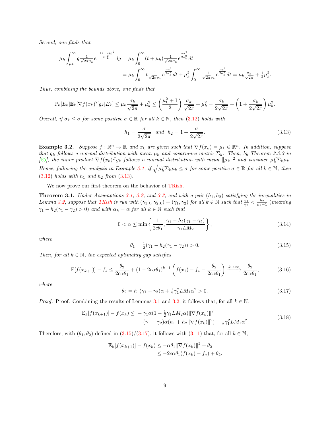Second, one finds that

$$
\mu_{k} \int_{\mu_{k}}^{\infty} g \frac{1}{\sqrt{2\pi}\sigma_{k}} e^{-\frac{(g-\mu_{k})^{2}}{2\sigma_{k}^{2}}} dg = \mu_{k} \int_{0}^{\infty} (t+\mu_{k}) \frac{1}{\sqrt{2\pi}\sigma_{k}} e^{\frac{-t^{2}}{2\sigma_{k}^{2}}} dt
$$
  

$$
= \mu_{k} \int_{0}^{\infty} t \frac{1}{\sqrt{2\pi}\sigma_{k}} e^{\frac{-t^{2}}{2\sigma_{k}^{2}}} dt + \mu_{k}^{2} \int_{0}^{\infty} \frac{1}{\sqrt{2\pi}\sigma_{k}} e^{\frac{-t^{2}}{2\sigma_{k}^{2}}} dt = \mu_{k} \frac{\sigma_{k}}{\sqrt{2\pi}} + \frac{1}{2} \mu_{k}^{2}.
$$

Thus, combining the bounds above, one finds that

$$
\mathbb{P}_k[E_k]\mathbb{E}_k[\nabla f(x_k)^T g_k | E_k] \leq \mu_k \frac{\sigma_k}{\sqrt{2\pi}} + \mu_k^2 \leq \left(\frac{\mu_k^2 + 1}{2}\right) \frac{\sigma_k}{\sqrt{2\pi}} + \mu_k^2 = \frac{\sigma_k}{2\sqrt{2\pi}} + \left(1 + \frac{\sigma_k}{2\sqrt{2\pi}}\right) \mu_k^2.
$$

Overall, if  $\sigma_k \leq \sigma$  for some positive  $\sigma \in \mathbb{R}$  for all  $k \in \mathbb{N}$ , then [\(3.12\)](#page-7-1) holds with

<span id="page-8-1"></span>
$$
h_1 = \frac{\sigma}{2\sqrt{2\pi}} \quad and \quad h_2 = 1 + \frac{\sigma}{2\sqrt{2\pi}}.
$$
 (3.13)

<span id="page-8-5"></span>**Example 3.2.** Suppose  $f : \mathbb{R}^n \to \mathbb{R}$  and  $x_k$  are given such that  $\nabla f(x_k) = \mu_k \in \mathbb{R}^n$ . In addition, suppose that  $g_k$  follows a normal distribution with mean  $\mu_k$  and covariance matrix  $\Sigma_k$ . Then, by Theorem 3.3.3 in [\[23\]](#page-24-6), the inner product  $\nabla f(x_k)^T g_k$  follows a normal distribution with mean  $\|\mu_k\|^2$  and variance  $\mu_k^T \Sigma_k \mu_k$ . Hence, following the analysis in Example [3.1,](#page-7-2) if  $\sqrt{\mu_k^T \Sigma_k \mu_k} \leq \sigma$  for some positive  $\sigma \in \mathbb{R}$  for all  $k \in \mathbb{N}$ , then  $(3.12)$  holds with  $h_1$  and  $h_2$  from  $(3.13)$ .

We now prove our first theorem on the behavior of [TRish.](#page-3-0)

<span id="page-8-0"></span>**Theorem 3.1.** Under Assumptions [3.1,](#page-4-2) [3.2,](#page-5-1) and [3.3,](#page-6-1) and with a pair  $(h_1, h_2)$  satisfying the inequalities in Lemma [3.2,](#page-7-0) suppose that [TRish](#page-3-0) is run with  $(\gamma_{1,k}, \gamma_{2,k}) = (\gamma_1, \gamma_2)$  for all  $k \in \mathbb{N}$  such that  $\frac{\gamma_1}{\gamma_2} < \frac{h_2}{h_2-1}$  (meaning  $\gamma_1 - h_2(\gamma_1 - \gamma_2) > 0$  and with  $\alpha_k = \alpha$  for all  $k \in \mathbb{N}$  such that

<span id="page-8-7"></span>
$$
0 < \alpha \le \min\left\{\frac{1}{2c\theta_1}, \frac{\gamma_1 - h_2(\gamma_1 - \gamma_2)}{\gamma_1 L M_2}\right\},\tag{3.14}
$$

where

<span id="page-8-2"></span>
$$
\theta_1 = \frac{1}{2}(\gamma_1 - h_2(\gamma_1 - \gamma_2)) > 0. \tag{3.15}
$$

Then, for all  $k \in \mathbb{N}$ , the expected optimality gap satisfies

<span id="page-8-4"></span>
$$
\mathbb{E}[f(x_{k+1})] - f_* \le \frac{\theta_2}{2c\alpha\theta_1} + (1 - 2c\alpha\theta_1)^{k-1} \left(f(x_1) - f_* - \frac{\theta_2}{2c\alpha\theta_1}\right) \xrightarrow{k \to \infty} \frac{\theta_2}{2c\alpha\theta_1},\tag{3.16}
$$

where

<span id="page-8-3"></span>
$$
\theta_2 = h_1(\gamma_1 - \gamma_2)\alpha + \frac{1}{2}\gamma_1^2 LM_1\alpha^2 > 0.
$$
\n(3.17)

*Proof.* Proof. Combining the results of Lemmas [3.1](#page-5-4) and [3.2,](#page-7-0) it follows that, for all  $k \in \mathbb{N}$ ,

<span id="page-8-6"></span>
$$
\mathbb{E}_{k}[f(x_{k+1})] - f(x_{k}) \leq -\gamma_{1}\alpha(1 - \frac{1}{2}\gamma_{1}LM_{2}\alpha)\|\nabla f(x_{k})\|^{2} + (\gamma_{1} - \gamma_{2})\alpha(h_{1} + h_{2}\|\nabla f(x_{k})\|^{2}) + \frac{1}{2}\gamma_{1}^{2}LM_{1}\alpha^{2}.
$$
\n(3.18)

Therefore, with  $(\theta_1, \theta_2)$  defined in  $(3.15)/(3.17)$  $(3.15)/(3.17)$  $(3.15)/(3.17)$ , it follows with  $(3.11)$  that, for all  $k \in \mathbb{N}$ ,

$$
\mathbb{E}_k[f(x_{k+1})] - f(x_k) \le -\alpha \theta_1 \|\nabla f(x_k)\|^2 + \theta_2
$$
  

$$
\le -2c\alpha \theta_1(f(x_k) - f_*) + \theta_2.
$$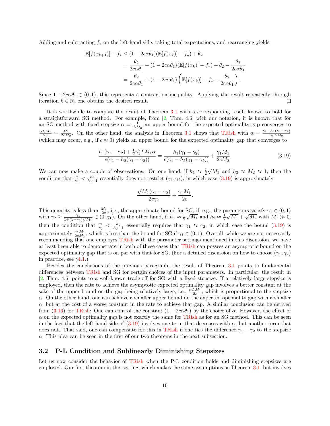Adding and subtracting  $f_*$  on the left-hand side, taking total expectations, and rearranging yields

$$
\mathbb{E}[f(x_{k+1})] - f_* \leq (1 - 2c\alpha\theta_1)(\mathbb{E}[f(x_k)] - f_*) + \theta_2
$$
  
= 
$$
\frac{\theta_2}{2c\alpha\theta_1} + (1 - 2c\alpha\theta_1)(\mathbb{E}[f(x_k)] - f_*) + \theta_2 - \frac{\theta_2}{2c\alpha\theta_1}
$$
  
= 
$$
\frac{\theta_2}{2c\alpha\theta_1} + (1 - 2c\alpha\theta_1)\left(\mathbb{E}[f(x_k)] - f_* - \frac{\theta_2}{2c\alpha\theta_1}\right).
$$

Since  $1 - 2c\alpha\theta_1 \in (0, 1)$ , this represents a contraction inequality. Applying the result repeatedly through iteration  $k \in \mathbb{N}$ , one obtains the desired result.  $\Box$ 

It is worthwhile to compare the result of Theorem [3.1](#page-8-0) with a corresponding result known to hold for a straightforward SG method. For example, from [\[2,](#page-23-8) Thm. 4.6] with our notation, it is known that for an SG method with fixed stepsize  $\alpha = \frac{1}{LM_2}$  an upper bound for the expected optimality gap converges to  $\frac{\alpha LM_1}{2c} = \frac{M_1}{2cM_2}$ . On the other hand, the analysis in Theorem [3.1](#page-8-0) shows that [TRish](#page-3-0) with  $\alpha = \frac{\gamma_1 - h_2(\gamma_1 - \gamma_2)}{\gamma_1 LM_2}$  $\gamma_1LM_2$ (which may occur, e.g., if  $c \approx 0$ ) yields an upper bound for the expected optimality gap that converges to

<span id="page-9-0"></span>
$$
\frac{h_1(\gamma_1 - \gamma_2) + \frac{1}{2}\gamma_1^2 LM_1 \alpha}{c(\gamma_1 - h_2(\gamma_1 - \gamma_2))} = \frac{h_1(\gamma_1 - \gamma_2)}{c(\gamma_1 - h_2(\gamma_1 - \gamma_2))} + \frac{\gamma_1 M_1}{2cM_2}.
$$
\n(3.19)

We can now make a couple of observations. On one hand, if  $h_1 \approx \frac{1}{2}$  $\sqrt{M_1}$  and  $h_2 \approx M_2 \approx 1$ , then the condition that  $\frac{\gamma_1}{\gamma_2} < \frac{h_2}{h_2-1}$  essentially does not restrict  $(\gamma_1, \gamma_2)$ , in which case  $(3.19)$  is approximately

$$
\frac{\sqrt{M_1}(\gamma_1 - \gamma_2)}{2c\gamma_2} + \frac{\gamma_1 M_1}{2c}.
$$

This quantity is less than  $\frac{M_1}{2c}$ , i.e., the approximate bound for SG, if, e.g., the parameters satisfy  $\gamma_1 \in (0,1)$ with  $\gamma_2 \geq \frac{\gamma_1}{1+(1-\gamma_2)}$  $\frac{\gamma_1}{1+(1-\gamma_1)\sqrt{M_1}} \in (0,\gamma_1)$ . On the other hand, if  $h_1 \approx \frac{1}{2}$ SG, ii, e.g., the p<br> $\sqrt{M_1}$  and  $h_2 \approx \frac{1}{2}$ arameters satisfy  $\gamma_1 \in (0, 1)$ <br> $\sqrt{M_1} + \sqrt{M_2}$  with  $M_1 \gg 0$ , then the condition that  $\frac{\gamma_1}{\gamma_2} < \frac{h_2}{h_2-1}$  essentially requires that  $\gamma_1 \approx \gamma_2$ , in which case the bound [\(3.19\)](#page-9-0) is approximately  $\frac{\gamma_1 M_1}{2cM_2}$ , which is less than the bound for SG if  $\gamma_1 \in (0,1)$ . Overall, while we are not necessarily recommending that one employes [TRish](#page-3-0) with the parameter settings mentioned in this discussion, we have at least been able to demonstrate in both of these cases that [TRish](#page-3-0) can possess an asymptotic bound on the expected optimality gap that is on par with that for SG. (For a detailed discussion on how to choose  $(\gamma_1, \gamma_2)$ ) in practice, see §[4.1.](#page-16-1))

Besides the conclusions of the previous paragraph, the result of Theorem [3.1](#page-8-0) points to fundamental differences between [TRish](#page-3-0) and SG for certain choices of the input parameters. In particular, the result in [\[2,](#page-23-8) Thm. 4.6] points to a well-known trade-off for SG with a fixed stepsize: If a relatively large stepsize is employed, then the rate to achieve the asymptotic expected optimality gap involves a better constant at the sake of the upper bound on the gap being relatively large, i.e.,  $\frac{\alpha LM_1}{2c}$ , which is proportional to the stepsize  $\alpha$ . On the other hand, one can achieve a smaller upper bound on the expected optimality gap with a smaller  $\alpha$ , but at the cost of a worse constant in the rate to achieve that gap. A similar conclusion can be derived from [\(3.16\)](#page-8-4) for [TRish:](#page-3-0) One can control the constant  $(1 - 2c\alpha\theta_1)$  by the choice of  $\alpha$ . However, the effect of  $\alpha$  on the expected optimality gap is not exactly the same for [TRish](#page-3-0) as for an SG method. This can be seen in the fact that the left-hand side of  $(3.19)$  involves one term that decreases with  $\alpha$ , but another term that does not. That said, one can compensate for this in [TRish](#page-3-0) if one ties the difference  $\gamma_1 - \gamma_2$  to the stepsize  $\alpha$ . This idea can be seen in the first of our two theorems in the next subsection.

## 3.2 P-L Condition and Sublinearly Diminishing Stepsizes

Let us now consider the behavior of [TRish](#page-3-0) when the P-L condition holds and diminishing stepsizes are employed. Our first theorem in this setting, which makes the same assumptions as Theorem [3.1,](#page-8-0) but involves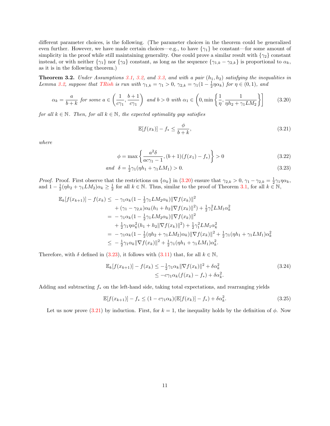different parameter choices, is the following. (The parameter choices in the theorem could be generalized even further. However, we have made certain choices—e.g., to have  $\{\gamma_1\}$  be constant—for some amount of simplicity in the proof while still maintaining generality. One could prove a similar result with  $\{\gamma_2\}$  constant instead, or with neither  $\{\gamma_1\}$  nor  $\{\gamma_2\}$  constant, as long as the sequence  $\{\gamma_{1,k} - \gamma_{2,k}\}$  is proportional to  $\alpha_k$ , as it is in the following theorem.)

<span id="page-10-3"></span>**Theorem 3.2.** Under Assumptions [3.1,](#page-4-2) [3.2,](#page-5-1) and [3.3,](#page-6-1) and with a pair  $(h_1, h_2)$  satisfying the inequalities in Lemma [3.2,](#page-7-0) suppose that [TRish](#page-3-0) is run with  $\gamma_{1,k} = \gamma_1 > 0$ ,  $\gamma_{2,k} = \gamma_1(1 - \frac{1}{2}\eta\alpha_k)$  for  $\eta \in (0,1)$ , and

<span id="page-10-0"></span>
$$
\alpha_k = \frac{a}{b+k} \text{ for some } a \in \left(\frac{1}{c\gamma_1}, \frac{b+1}{c\gamma_1}\right) \text{ and } b > 0 \text{ with } \alpha_1 \in \left(0, \min\left\{\frac{1}{\eta}, \frac{1}{\eta h_2 + \gamma_1 L M_2}\right\}\right] \tag{3.20}
$$

for all  $k \in \mathbb{N}$ . Then, for all  $k \in \mathbb{N}$ , the expected optimality gap satisfies

<span id="page-10-2"></span><span id="page-10-1"></span>
$$
\mathbb{E}[f(x_k)] - f_* \le \frac{\phi}{b+k},\tag{3.21}
$$

where

$$
\phi = \max\left\{\frac{a^2\delta}{ac\gamma_1 - 1}, (b+1)(f(x_1) - f_*)\right\} > 0
$$
\n(3.22)

$$
and \ \delta = \frac{1}{2}\gamma_1(\eta h_1 + \gamma_1 LM_1) > 0. \tag{3.23}
$$

*Proof.* Proof. First observe that the restrictions on  $\{\alpha_k\}$  in [\(3.20\)](#page-10-0) ensure that  $\gamma_{2,k} > 0$ ,  $\gamma_1 - \gamma_{2,k} = \frac{1}{2}\gamma_1\eta\alpha_k$ , and  $1 - \frac{1}{2}(\eta h_2 + \gamma_1 L M_2) \alpha_k \ge \frac{1}{2}$  for all  $k \in \mathbb{N}$ . Thus, similar to the proof of Theorem [3.1,](#page-8-0) for all  $k \in \mathbb{N}$ ,

$$
\mathbb{E}_{k}[f(x_{k+1})] - f(x_{k}) \leq -\gamma_{1}\alpha_{k}(1 - \frac{1}{2}\gamma_{1}LM_{2}\alpha_{k})\|\nabla f(x_{k})\|^{2} \n+ (\gamma_{1} - \gamma_{2,k})\alpha_{k}(h_{1} + h_{2}\|\nabla f(x_{k})\|^{2}) + \frac{1}{2}\gamma_{1}^{2}LM_{1}\alpha_{k}^{2} \n= -\gamma_{1}\alpha_{k}(1 - \frac{1}{2}\gamma_{1}LM_{2}\alpha_{k})\|\nabla f(x_{k})\|^{2} \n+ \frac{1}{2}\gamma_{1}\eta\alpha_{k}^{2}(h_{1} + h_{2}\|\nabla f(x_{k})\|^{2}) + \frac{1}{2}\gamma_{1}^{2}LM_{1}\alpha_{k}^{2} \n= -\gamma_{1}\alpha_{k}(1 - \frac{1}{2}(\eta h_{2} + \gamma_{1}LM_{2})\alpha_{k})\|\nabla f(x_{k})\|^{2} + \frac{1}{2}\gamma_{1}(\eta h_{1} + \gamma_{1}LM_{1})\alpha_{k}^{2} \n\leq - \frac{1}{2}\gamma_{1}\alpha_{k}\|\nabla f(x_{k})\|^{2} + \frac{1}{2}\gamma_{1}(\eta h_{1} + \gamma_{1}LM_{1})\alpha_{k}^{2}.
$$

Therefore, with  $\delta$  defined in [\(3.23\)](#page-10-1), it follows with [\(3.11\)](#page-6-2) that, for all  $k \in \mathbb{N}$ ,

<span id="page-10-5"></span>
$$
\mathbb{E}_k[f(x_{k+1})] - f(x_k) \le -\frac{1}{2}\gamma_1 \alpha_k \|\nabla f(x_k)\|^2 + \delta \alpha_k^2
$$
\n
$$
\le -c\gamma_1 \alpha_k (f(x_k) - f_*) + \delta \alpha_k^2.
$$
\n(3.24)

Adding and subtracting  $f_*$  on the left-hand side, taking total expectations, and rearranging yields

<span id="page-10-4"></span>
$$
\mathbb{E}[f(x_{k+1})] - f_* \le (1 - c\gamma_1 \alpha_k) (\mathbb{E}[f(x_k)] - f_*) + \delta \alpha_k^2.
$$
 (3.25)

Let us now prove [\(3.21\)](#page-10-2) by induction. First, for  $k = 1$ , the inequality holds by the definition of  $\phi$ . Now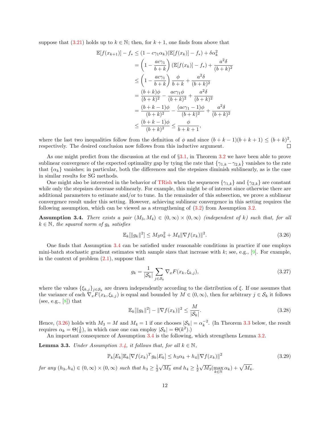suppose that [\(3.21\)](#page-10-2) holds up to  $k \in \mathbb{N}$ ; then, for  $k + 1$ , one finds from above that

$$
\mathbb{E}[f(x_{k+1})] - f_* \le (1 - c\gamma_1 \alpha_k) (\mathbb{E}[f(x_k)] - f_*) + \delta \alpha_k^2
$$
  
=  $\left(1 - \frac{ac\gamma_1}{b+k}\right) (\mathbb{E}[f(x_k)] - f_*) + \frac{a^2 \delta}{(b+k)^2}$   

$$
\le \left(1 - \frac{ac\gamma_1}{b+k}\right) \frac{\phi}{b+k} + \frac{a^2 \delta}{(b+k)^2}
$$
  
=  $\frac{(b+k)\phi}{(b+k)^2} - \frac{ac\gamma_1 \phi}{(b+k)^2} + \frac{a^2 \delta}{(b+k)^2}$   
=  $\frac{(b+k-1)\phi}{(b+k)^2} - \frac{(ac\gamma_1 - 1)\phi}{(b+k)^2} + \frac{a^2 \delta}{(b+k)^2}$   

$$
\le \frac{(b+k-1)\phi}{(b+k)^2} \le \frac{\phi}{b+k+1},
$$

where the last two inequalities follow from the definition of  $\phi$  and since  $(b + k - 1)(b + k + 1) \le (b + k)^2$ , respectively. The desired conclusion now follows from this inductive argument.

As one might predict from the discussion at the end of §[3.1,](#page-7-3) in Theorem [3.2](#page-10-3) we have been able to prove sublinear convergence of the expected optimality gap by tying the rate that  $\{\gamma_{1,k} - \gamma_{2,k}\}\$  vanishes to the rate that  $\{\alpha_k\}$  vanishes; in particular, both the differences and the stepsizes diminish sublinearly, as is the case in similar results for SG methods.

One might also be interested in the behavior of [TRish](#page-3-0) when the sequences  $\{\gamma_{1,k}\}\$  and  $\{\gamma_{2,k}\}\$ are constant while only the stepsizes decrease sublinearly. For example, this might be of interest since otherwise there are additional parameters to estimate and/or to tune. In the remainder of this subsection, we prove a sublinear convergence result under this setting. However, achieving sublinear convergence in this setting requires the following assumption, which can be viewed as a strengthening of  $(3.2)$  from Assumption [3.2.](#page-5-1)

<span id="page-11-0"></span>**Assumption 3.4.** There exists a pair  $(M_3, M_4) \in (0, \infty) \times (0, \infty)$  (independent of k) such that, for all  $k \in \mathbb{N}$ , the squared norm of  $g_k$  satisfies

<span id="page-11-1"></span>
$$
\mathbb{E}_k[\|g_k\|^2] \le M_3 \alpha_k^2 + M_4 \|\nabla f(x_k)\|^2. \tag{3.26}
$$

One finds that Assumption [3.4](#page-11-0) can be satisfied under reasonable conditions in practice if one employs mini-batch stochastic gradient estimates with sample sizes that increase with k; see, e.g.,  $[9]$ . For example, in the context of problem  $(2.1)$ , suppose that

<span id="page-11-4"></span>
$$
g_k = \frac{1}{|\mathcal{S}_k|} \sum_{j \in \mathcal{S}_k} \nabla_x F(x_k, \xi_{k,j}),\tag{3.27}
$$

where the values  $\{\xi_{k,j}\}_{j\in\mathcal{S}_k}$  are drawn independently according to the distribution of  $\xi$ . If one assumes that the variance of each  $\nabla_x F(x_k, \xi_{k,j})$  is equal and bounded by  $M \in (0, \infty)$ , then for arbitrary  $j \in \mathcal{S}_k$  it follows (see, e.g.,  $[8]$ ) that

<span id="page-11-5"></span>
$$
\mathbb{E}_{k}[\|g_{k}\|^{2}] - \|\nabla f(x_{k})\|^{2} \le \frac{M}{|\mathcal{S}_{k}|}.
$$
\n(3.28)

Hence,  $(3.26)$  holds with  $M_3 = M$  and  $M_4 = 1$  if one chooses  $|\mathcal{S}_k| = \alpha_k^{-2}$ . (In Theorem [3.3](#page-12-0) below, the result requires  $\alpha_k = \Theta(\frac{1}{k})$ , in which case one can employ  $|\mathcal{S}_k| = \Theta(k^2)$ .)

An important consequence of Assumption [3.4](#page-11-0) is the following, which strengthens Lemma [3.2.](#page-7-0)

<span id="page-11-3"></span>**Lemma 3.3.** Under Assumption [3.4,](#page-11-0) it follows that, for all  $k \in \mathbb{N}$ ,

<span id="page-11-2"></span>
$$
\mathbb{P}_k[E_k] \mathbb{E}_k[\nabla f(x_k)^T g_k | E_k] \le h_3 \alpha_k + h_4 ||\nabla f(x_k)||^2
$$
\n(3.29)

for any  $(h_3, h_4) \in (0, \infty) \times (0, \infty)$  such that  $h_3 \geq \frac{1}{2}$  $\sqrt{M_3}$  and  $h_4 \geq \frac{1}{2}$  $\sqrt{M_3}(\max_{k\in\mathbb{N}}\alpha_k)+\sqrt{M_4}.$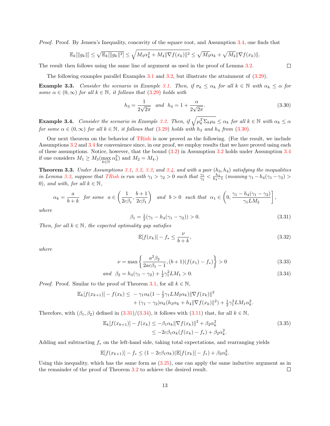Proof. Proof. By Jensen's Inequality, concavity of the square root, and Assumption [3.4,](#page-11-0) one finds that

$$
\mathbb{E}_k[\|g_k\|] \leq \sqrt{\mathbb{E}_k[\|g_k\|^2]} \leq \sqrt{M_3 \alpha_k^2 + M_4 \|\nabla f(x_k)\|^2} \leq \sqrt{M_3} \alpha_k + \sqrt{M_4} \|\nabla f(x_k)\|.
$$

The result then follows using the same line of argument as used in the proof of Lemma [3.2.](#page-7-0)

The following examples parallel Examples [3.1](#page-7-2) and [3.2,](#page-8-5) but illustrate the attainment of [\(3.29\)](#page-11-2).

**Example 3.3.** Consider the scenario in Example [3.1.](#page-7-2) Then, if  $\sigma_k \leq \alpha_k$  for all  $k \in \mathbb{N}$  with  $\alpha_k \leq \alpha$  for some  $\alpha \in (0,\infty)$  for all  $k \in \mathbb{N}$ , it follows that  $(3.29)$  holds with

<span id="page-12-1"></span>
$$
h_3 = \frac{1}{2\sqrt{2\pi}} \quad and \quad h_4 = 1 + \frac{\alpha}{2\sqrt{2\pi}}.\tag{3.30}
$$

**Example 3.4.** Consider the scenario in Example [3.2.](#page-8-5) Then, if  $\sqrt{\mu_k^T \Sigma_k \mu_k} \leq \alpha_k$  for all  $k \in \mathbb{N}$  with  $\alpha_k \leq \alpha_k$ for some  $\alpha \in (0,\infty)$  for all  $k \in \mathbb{N}$ , it follows that [\(3.29\)](#page-11-2) holds with  $h_3$  and  $h_4$  from [\(3.30\)](#page-12-1).

Our next theorem on the behavior of [TRish](#page-3-0) is now proved as the following. (For the result, we include Assumptions [3.2](#page-5-1) and [3.4](#page-11-0) for convenience since, in our proof, we employ results that we have proved using each of these assumptions. Notice, however, that the bound [\(3.2\)](#page-5-3) in Assumption [3.2](#page-5-1) holds under Assumption [3.4](#page-11-0) if one considers  $M_1 \geq M_3(\max_{k \in \mathbb{N}} \alpha_k^2)$  and  $M_2 = M_4$ .)

<span id="page-12-0"></span>**Theorem 3.3.** Under Assumptions [3.1,](#page-4-2) [3.2,](#page-5-1) [3.3,](#page-6-1) and [3.4,](#page-11-0) and with a pair  $(h_3, h_4)$  satisfying the inequalities in Lemma [3.3,](#page-11-3) suppose that [TRish](#page-3-0) is run with  $\gamma_1 > \gamma_2 > 0$  such that  $\frac{\gamma_1}{\gamma_2} < \frac{h_4}{h_4-1}$  (meaning  $\gamma_1 - h_4(\gamma_1 - \gamma_2) >$ 0), and with, for all  $k \in \mathbb{N}$ ,

$$
\alpha_k = \frac{a}{b+k} \text{ for some } a \in \left(\frac{1}{2c\beta_1}, \frac{b+1}{2c\beta_1}\right) \text{ and } b > 0 \text{ such that } \alpha_1 \in \left(0, \frac{\gamma_1 - h_4(\gamma_1 - \gamma_2)}{\gamma_1 LM_2}\right],
$$

where

<span id="page-12-2"></span>
$$
\beta_1 = \frac{1}{2}(\gamma_1 - h_4(\gamma_1 - \gamma_2)) > 0. \tag{3.31}
$$

Then, for all  $k \in \mathbb{N}$ , the expected optimality gap satisfies

<span id="page-12-4"></span><span id="page-12-3"></span>
$$
\mathbb{E}[f(x_k)] - f_* \le \frac{\nu}{b+k},\tag{3.32}
$$

where

$$
\nu = \max\left\{\frac{a^2\beta_2}{2ac\beta_1 - 1}, (b+1)(f(x_1) - f_*)\right\} > 0\tag{3.33}
$$

and 
$$
\beta_2 = h_3(\gamma_1 - \gamma_2) + \frac{1}{2}\gamma_1^2 LM_1 > 0.
$$
 (3.34)

*Proof.* Proof. Similar to the proof of Theorem [3.1,](#page-8-0) for all  $k \in \mathbb{N}$ ,

$$
\mathbb{E}_k[f(x_{k+1})] - f(x_k) \leq -\gamma_1 \alpha_k (1 - \frac{1}{2} \gamma_1 L M_2 \alpha_k) \|\nabla f(x_k)\|^2 + (\gamma_1 - \gamma_2) \alpha_k (h_3 \alpha_k + h_4 \|\nabla f(x_k)\|^2) + \frac{1}{2} \gamma_1^2 L M_1 \alpha_k^2.
$$

Therefore, with  $(\beta_1, \beta_2)$  defined in  $(3.31)/(3.34)$  $(3.31)/(3.34)$  $(3.31)/(3.34)$ , it follows with  $(3.11)$  that, for all  $k \in \mathbb{N}$ ,

$$
\mathbb{E}_{k}[f(x_{k+1})] - f(x_{k}) \le -\beta_{1}\alpha_{k} \|\nabla f(x_{k})\|^{2} + \beta_{2}\alpha_{k}^{2}
$$
\n
$$
\le -2c\beta_{1}\alpha_{k}(f(x_{k}) - f_{*}) + \beta_{2}\alpha_{k}^{2}.
$$
\n(3.35)

Adding and subtracting  $f_*$  on the left-hand side, taking total expectations, and rearranging yields

$$
\mathbb{E}[f(x_{k+1})] - f_{*} \le (1 - 2c\beta_1 \alpha_k) (\mathbb{E}[f(x_k)] - f_{*}) + \beta_2 \alpha_k^2.
$$

Using this inequality, which has the same form as [\(3.25\)](#page-10-4), one can apply the same inductive argument as in the remainder of the proof of Theorem [3.2](#page-10-3) to achieve the desired result.  $\Box$ 

 $\Box$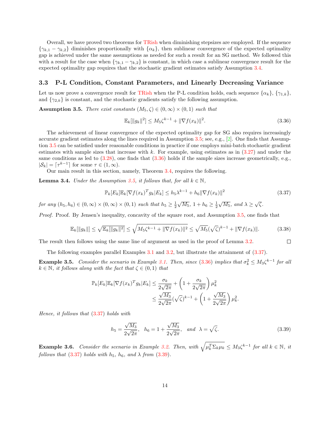Overall, we have proved two theorems for [TRish](#page-3-0) when diminishing stepsizes are employed. If the sequence  $\{\gamma_{k,1} - \gamma_{k,2}\}\$  diminishes proportionally with  $\{\alpha_k\}\$ , then sublinear convergence of the expected optimality gap is achieved under the same assumptions as needed for such a result for an SG method. We followed this with a result for the case when  $\{\gamma_{k,1} - \gamma_{k,2}\}\$  is constant, in which case a sublinear convergence result for the expected optimality gap requires that the stochastic gradient estimates satisfy Assumption [3.4.](#page-11-0)

### 3.3 P-L Condition, Constant Parameters, and Linearly Decreasing Variance

Let us now prove a convergence result for [TRish](#page-3-0) when the P-L condition holds, each sequence  $\{\alpha_k\}, \{\gamma_{1,k}\},\$ and  $\{\gamma_{2,k}\}\$ is constant, and the stochastic gradients satisfy the following assumption.

<span id="page-13-0"></span>**Assumption 3.5.** There exist constants  $(M_5, \zeta) \in (0, \infty) \times (0, 1)$  such that

<span id="page-13-1"></span>
$$
\mathbb{E}_k[\|g_k\|^2] \le M_5 \zeta^{k-1} + \|\nabla f(x_k)\|^2. \tag{3.36}
$$

The achievement of linear convergence of the expected optimality gap for SG also requires increasingly accurate gradient estimates along the lines required in Assumption [3.5;](#page-13-0) see, e.g., [\[2\]](#page-23-8). One finds that Assumption [3.5](#page-13-0) can be satisfied under reasonable conditions in practice if one employs mini-batch stochastic gradient estimates with sample sizes that increase with k. For example, using estimates as in  $(3.27)$  and under the same conditions as led to  $(3.28)$ , one finds that  $(3.36)$  holds if the sample sizes increase geometrically, e.g.,  $|\mathcal{S}_k| = \lceil \tau^{k-1} \rceil$  for some  $\tau \in (1, \infty)$ .

Our main result in this section, namely, Theorem [3.4,](#page-14-0) requires the following.

<span id="page-13-4"></span>**Lemma 3.4.** Under the Assumption [3.5,](#page-13-0) it follows that, for all  $k \in \mathbb{N}$ ,

<span id="page-13-2"></span>
$$
\mathbb{P}_k[E_k] \mathbb{E}_k[\nabla f(x_k)^T g_k | E_k] \le h_5 \lambda^{k-1} + h_6 \|\nabla f(x_k)\|^2 \tag{3.37}
$$

 $\Box$ 

for any  $(h_5, h_6) \in (0, \infty) \times (0, \infty) \times (0, 1)$  such that  $h_5 \geq \frac{1}{2}$  $\sqrt{M_5}$ ,  $1 + h_6 \ge \frac{1}{2}$  $\sqrt{M_5}$ , and  $\lambda \geq \sqrt{\zeta}$ .

Proof. Proof. By Jensen's inequality, concavity of the square root, and Assumption [3.5,](#page-13-0) one finds that

$$
\mathbb{E}_k[\|g_k\|] \le \sqrt{\mathbb{E}_k[\|g_k\|^2]} \le \sqrt{M_5\zeta^{k-1} + \|\nabla f(x_k)\|^2} \le \sqrt{M_5}(\sqrt{\zeta})^{k-1} + \|\nabla f(x_k)\|.
$$
 (3.38)

The result then follows using the same line of argument as used in the proof of Lemma [3.2.](#page-7-0)

The following examples parallel Examples [3.1](#page-7-2) and [3.2,](#page-8-5) but illustrate the attainment of [\(3.37\)](#page-13-2).

**Example 3.5.** Consider the scenario in Example [3.1.](#page-7-2) Then, since [\(3.36\)](#page-13-1) implies that  $\sigma_k^2 \leq M_3 \zeta^{k-1}$  for all  $k \in \mathbb{N}$ , it follows along with the fact that  $\zeta \in (0,1)$  that

$$
\mathbb{P}_k[E_k] \mathbb{E}_k[\nabla f(x_k)^T g_k | E_k] \le \frac{\sigma_k}{2\sqrt{2\pi}} + \left(1 + \frac{\sigma_k}{2\sqrt{2\pi}}\right) \mu_k^2
$$
  

$$
\le \frac{\sqrt{M_3}}{2\sqrt{2\pi}} (\sqrt{\zeta})^{k-1} + \left(1 + \frac{\sqrt{M_3}}{2\sqrt{2\pi}}\right) \mu_k^2.
$$

Hence, it follows that [\(3.37\)](#page-13-2) holds with

<span id="page-13-3"></span>
$$
h_5 = \frac{\sqrt{M_3}}{2\sqrt{2\pi}}, \quad h_6 = 1 + \frac{\sqrt{M_3}}{2\sqrt{2\pi}}, \quad \text{and} \quad \lambda = \sqrt{\zeta}.
$$
 (3.39)

**Example 3.6.** Consider the scenario in Example [3.2.](#page-8-5) Then, with  $\sqrt{\mu_k^T \Sigma_k \mu_k} \leq M_3 \zeta^{k-1}$  for all  $k \in \mathbb{N}$ , it follows that  $(3.37)$  holds with  $h_5$ ,  $h_6$ , and  $\lambda$  from  $(3.39)$ .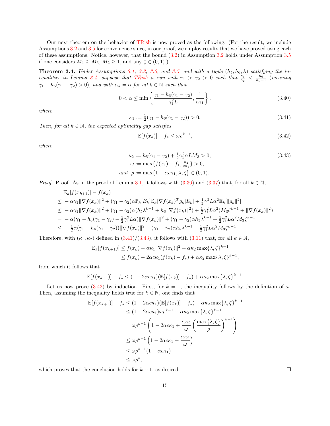Our next theorem on the behavior of [TRish](#page-3-0) is now proved as the following. (For the result, we include Assumptions [3.2](#page-5-1) and [3.5](#page-13-0) for convenience since, in our proof, we employ results that we have proved using each of these assumptions. Notice, however, that the bound  $(3.2)$  in Assumption [3.2](#page-5-1) holds under Assumption [3.5](#page-13-0) if one considers  $M_1 \geq M_5$ ,  $M_2 \geq 1$ , and any  $\zeta \in (0,1)$ .)

<span id="page-14-0"></span>**Theorem 3.4.** Under Assumptions [3.1,](#page-4-2) [3.2,](#page-5-1) [3.3,](#page-6-1) and [3.5,](#page-13-0) and with a tuple  $(h_5, h_6, \lambda)$  satisfying the in-equalities in Lemma [3.4,](#page-13-4) suppose that [TRish](#page-3-0) is run with  $\gamma_1 > \gamma_2 > 0$  such that  $\frac{\gamma_1}{\gamma_2} < \frac{h_6}{h_6-1}$  (meaning  $\gamma_1 - h_6(\gamma_1 - \gamma_2) > 0$ , and with  $\alpha_k = \alpha$  for all  $k \in \mathbb{N}$  such that

$$
0 < \alpha \le \min\left\{\frac{\gamma_1 - h_6(\gamma_1 - \gamma_2)}{\gamma_1^2 L}, \frac{1}{c\kappa_1}\right\},\tag{3.40}
$$

where

<span id="page-14-1"></span>
$$
\kappa_1 := \frac{1}{2}(\gamma_1 - h_6(\gamma_1 - \gamma_2)) > 0. \tag{3.41}
$$

Then, for all  $k \in \mathbb{N}$ , the expected optimality gap satisfies

<span id="page-14-3"></span><span id="page-14-2"></span>
$$
\mathbb{E}[f(x_k)] - f_* \le \omega \rho^{k-1},\tag{3.42}
$$

where

$$
\kappa_2 := h_5(\gamma_1 - \gamma_2) + \frac{1}{2}\gamma_1^2 \alpha LM_3 > 0,
$$
  
\n
$$
\omega := \max\{f(x_1) - f_*, \frac{\kappa_2}{c\kappa_1}\} > 0,
$$
  
\nand  $\rho := \max\{1 - \alpha c \kappa_1, \lambda, \zeta\} \in (0, 1).$  (3.43)

*Proof.* Proof. As in the proof of Lemma [3.1,](#page-5-4) it follows with  $(3.36)$  and  $(3.37)$  that, for all  $k \in \mathbb{N}$ ,

$$
\mathbb{E}_{k}[f(x_{k+1})] - f(x_{k})
$$
\n
$$
\leq -\alpha \gamma_{1} \|\nabla f(x_{k})\|^{2} + (\gamma_{1} - \gamma_{2}) \alpha \mathbb{P}_{k}[E_{k}]\mathbb{E}_{k}[\nabla f(x_{k})^{T} g_{k}|E_{k}] + \frac{1}{2} \gamma_{1}^{2} L \alpha^{2} \mathbb{E}_{k}[\|g_{k}\|^{2}]
$$
\n
$$
\leq -\alpha \gamma_{1} \|\nabla f(x_{k})\|^{2} + (\gamma_{1} - \gamma_{2}) \alpha (h_{5} \lambda^{k-1} + h_{6} \|\nabla f(x_{k})\|^{2}) + \frac{1}{2} \gamma_{1}^{2} L \alpha^{2} (M_{3} \zeta^{k-1} + \|\nabla f(x_{k})\|^{2})
$$
\n
$$
= -\alpha (\gamma_{1} - h_{6}(\gamma_{1} - \gamma_{2}) - \frac{1}{2} \gamma_{1}^{2} L \alpha) \|\nabla f(x_{k})\|^{2} + (\gamma_{1} - \gamma_{2}) \alpha h_{5} \lambda^{k-1} + \frac{1}{2} \gamma_{1}^{2} L \alpha^{2} M_{3} \zeta^{k-1}
$$
\n
$$
\leq -\frac{1}{2} \alpha (\gamma_{1} - h_{6}(\gamma_{1} - \gamma_{2})) \|\nabla f(x_{k})\|^{2} + (\gamma_{1} - \gamma_{2}) \alpha h_{5} \lambda^{k-1} + \frac{1}{2} \gamma_{1}^{2} L \alpha^{2} M_{3} \zeta^{k-1}.
$$

Therefore, with  $(\kappa_1, \kappa_2)$  defined in  $(3.41)/(3.43)$  $(3.41)/(3.43)$  $(3.41)/(3.43)$ , it follows with  $(3.11)$  that, for all  $k \in \mathbb{N}$ ,

$$
\mathbb{E}_k[f(x_{k+1})] \le f(x_k) - \alpha \kappa_1 \|\nabla f(x_k)\|^2 + \alpha \kappa_2 \max\{\lambda, \zeta\}^{k-1}
$$
  

$$
\le f(x_k) - 2\alpha c \kappa_1 (f(x_k) - f_*) + \alpha \kappa_2 \max\{\lambda, \zeta\}^{k-1},
$$

from which it follows that

$$
\mathbb{E}[f(x_{k+1})] - f_* \leq (1 - 2\alpha c \kappa_1)(\mathbb{E}[f(x_k)] - f_*) + \alpha \kappa_2 \max\{\lambda, \zeta\}^{k-1}.
$$

Let us now prove [\(3.42\)](#page-14-3) by induction. First, for  $k = 1$ , the inequality follows by the definition of  $\omega$ . Then, assuming the inequality holds true for  $k \in \mathbb{N}$ , one finds that

$$
\mathbb{E}[f(x_{k+1})] - f_* \leq (1 - 2\alpha c\kappa_1)(\mathbb{E}[f(x_k)] - f_*) + \alpha \kappa_2 \max\{\lambda, \zeta\}^{k-1}
$$
  
\n
$$
\leq (1 - 2\alpha c\kappa_1)\omega \rho^{k-1} + \alpha \kappa_2 \max\{\lambda, \zeta\}^{k-1}
$$
  
\n
$$
= \omega \rho^{k-1} \left(1 - 2\alpha c\kappa_1 + \frac{\alpha \kappa_2}{\omega} \left(\frac{\max\{\lambda, \zeta\}}{\rho}\right)^{k-1}\right)
$$
  
\n
$$
\leq \omega \rho^{k-1} \left(1 - 2\alpha c\kappa_1 + \frac{\alpha \kappa_2}{\omega}\right)
$$
  
\n
$$
\leq \omega \rho^{k-1} (1 - \alpha c\kappa_1)
$$
  
\n
$$
\leq \omega \rho^k,
$$

which proves that the conclusion holds for  $k + 1$ , as desired.

 $\Box$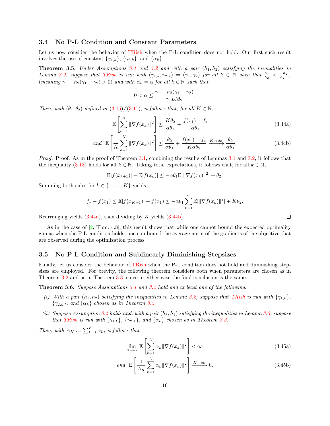## 3.4 No P-L Condition and Constant Parameters

Let us now consider the behavior of [TRish](#page-3-0) when the P-L condition does not hold. Our first such result involves the use of constant  $\{\gamma_{1,k}\}, \{\gamma_{2,k}\},$  and  $\{\alpha_k\}.$ 

**Theorem 3.5.** Under Assumptions [3.1](#page-4-2) and [3.2](#page-5-1) and with a pair  $(h_1, h_2)$  satisfying the inequalities in Lemma [3.2,](#page-7-0) suppose that [TRish](#page-3-0) is run with  $(\gamma_{1,k}, \gamma_{2,k}) = (\gamma_1, \gamma_2)$  for all  $k \in \mathbb{N}$  such that  $\frac{\gamma_1}{\gamma_2} < \frac{h_2}{h_2-1}$ (meaning  $\gamma_1 - h_2(\gamma_1 - \gamma_2) > 0$ ) and with  $\alpha_k = \alpha$  for all  $k \in \mathbb{N}$  such that

$$
0 < \alpha \le \frac{\gamma_1 - h_2(\gamma_1 - \gamma_2)}{\gamma_1 L M_2}.
$$

Then, with  $(\theta_1, \theta_2)$  defined in  $(3.15)/(3.17)$  $(3.15)/(3.17)$  $(3.15)/(3.17)$ , it follows that, for all  $K \in \mathbb{N}$ ,

$$
\mathbb{E}\left[\sum_{k=1}^{K} \|\nabla f(x_k)\|^2\right] \le \frac{K\theta_2}{\alpha\theta_1} + \frac{f(x_1) - f_*}{\alpha\theta_1} \tag{3.44a}
$$

$$
and \mathbb{E}\left[\frac{1}{K}\sum_{k=1}^{K} \|\nabla f(x_k)\|^2\right] \le \frac{\theta_2}{\alpha \theta_1} + \frac{f(x_1) - f_*}{K\alpha \theta_2} \xrightarrow{K \to \infty} \frac{\theta_2}{\alpha \theta_1}.
$$
\n(3.44b)

Proof. Proof. As in the proof of Theorem [3.1,](#page-8-0) combining the results of Lemmas [3.1](#page-5-4) and [3.2,](#page-7-0) it follows that the inequality [\(3.18\)](#page-8-6) holds for all  $k \in \mathbb{N}$ . Taking total expectations, it follows that, for all  $k \in \mathbb{N}$ ,

$$
\mathbb{E}[f(x_{k+1})] - \mathbb{E}[f(x_k)] \leq -\alpha \theta_1 \mathbb{E}[\|\nabla f(x_k)\|^2] + \theta_2.
$$

Summing both sides for  $k \in \{1, \ldots, K\}$  yields

$$
f_* - f(x_1) \le \mathbb{E}[f(x_{K+1})] - f(x_1) \le -\alpha \theta_1 \sum_{k=1}^{K} \mathbb{E}[\|\nabla f(x_k)\|^2] + K\theta_2.
$$

Rearranging yields  $(3.44a)$ , then dividing by K yields  $(3.44b)$ .

As in the case of [\[2,](#page-23-8) Thm. 4.8], this result shows that while one cannot bound the expected optimality gap as when the P-L condition holds, one can bound the average norm of the gradients of the objective that are observed during the optimization process.

## 3.5 No P-L Condition and Sublinearly Diminishing Stepsizes

Finally, let us consider the behavior of [TRish](#page-3-0) when the P-L condition does not hold and diminishing stepsizes are employed. For brevity, the following theorem considers both when parameters are chosen as in Theorem [3.2](#page-10-3) and as in Theorem [3.3,](#page-12-0) since in either case the final conclusion is the same.

Theorem 3.6. Suppose Assumptions [3.1](#page-4-2) and [3.2](#page-5-1) hold and at least one of the following.

- (i) With a pair  $(h_1, h_2)$  satisfying the inequalities in Lemma [3.2,](#page-7-0) suppose that [TRish](#page-3-0) is run with  $\{\gamma_{1,k}\},$  ${\gamma_{2,k}}$ , and  ${\alpha_k}$  chosen as in Theorem [3.2.](#page-10-3)
- (ii) Suppose Assumption [3.4](#page-11-0) holds and, with a pair  $(h_3, h_4)$  satisfying the inequalities in Lemma [3.3,](#page-11-3) suppose that [TRish](#page-3-0) is run with  $\{\gamma_{1,k}\}, \{\gamma_{2,k}\},$  and  $\{\alpha_k\}$  chosen as in Theorem [3.3.](#page-12-0)

Then, with  $A_K := \sum_{k=1}^K \alpha_k$ , it follows that

$$
\lim_{K \to \infty} \mathbb{E} \left[ \sum_{k=1}^{K} \alpha_k \|\nabla f(x_k)\|^2 \right] < \infty \tag{3.45a}
$$

$$
and \mathbb{E}\left[\frac{1}{A_K}\sum_{k=1}^K \alpha_k \|\nabla f(x_k)\|^2\right] \xrightarrow{K \to \infty} 0. \tag{3.45b}
$$

<span id="page-15-3"></span><span id="page-15-2"></span><span id="page-15-1"></span><span id="page-15-0"></span> $\Box$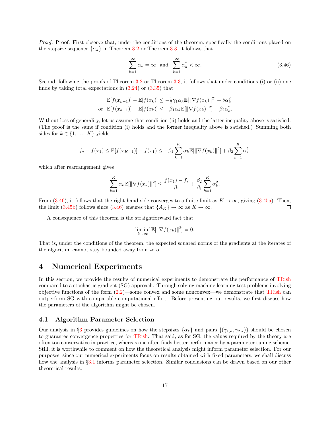Proof. Proof. First observe that, under the conditions of the theorem, specifically the conditions placed on the stepsize sequence  $\{\alpha_k\}$  in Theorem [3.2](#page-10-3) or Theorem [3.3,](#page-12-0) it follows that

<span id="page-16-2"></span>
$$
\sum_{k=1}^{\infty} \alpha_k = \infty \text{ and } \sum_{k=1}^{\infty} \alpha_k^2 < \infty. \tag{3.46}
$$

Second, following the proofs of Theorem [3.2](#page-10-3) or Theorem [3.3,](#page-12-0) it follows that under conditions (i) or (ii) one finds by taking total expectations in  $(3.24)$  or  $(3.35)$  that

$$
\mathbb{E}[f(x_{k+1})] - \mathbb{E}[f(x_k)] \leq -\frac{1}{2}\gamma_1 \alpha_k \mathbb{E}[\|\nabla f(x_k)\|^2] + \delta \alpha_k^2
$$
  
or 
$$
\mathbb{E}[f(x_{k+1})] - \mathbb{E}[f(x_k)] \leq -\beta_1 \alpha_k \mathbb{E}[\|\nabla f(x_k)\|^2] + \beta_2 \alpha_k^2.
$$

Without loss of generality, let us assume that condition (ii) holds and the latter inequality above is satisfied. (The proof is the same if condition (i) holds and the former inequality above is satisfied.) Summing both sides for  $k \in \{1, \ldots, K\}$  yields

$$
f_{*} - f(x_{1}) \leq \mathbb{E}[f(x_{K+1})] - f(x_{1}) \leq -\beta_{1} \sum_{k=1}^{K} \alpha_{k} \mathbb{E}[\|\nabla f(x_{k})\|^{2}] + \beta_{2} \sum_{k=1}^{K} \alpha_{k}^{2},
$$

which after rearrangement gives

$$
\sum_{k=1}^{K} \alpha_k \mathbb{E}[\|\nabla f(x_k)\|^2] \le \frac{f(x_1) - f_*}{\beta_1} + \frac{\beta_2}{\beta_1} \sum_{k=1}^{K} \alpha_k^2.
$$

From [\(3.46\)](#page-16-2), it follows that the right-hand side converges to a finite limit as  $K \to \infty$ , giving [\(3.45a\)](#page-15-2). Then, the limit [\(3.45b\)](#page-15-3) follows since [\(3.46\)](#page-16-2) ensures that  $\{A_K\} \to \infty$  as  $K \to \infty$ .  $\Box$ 

A consequence of this theorem is the straightforward fact that

$$
\liminf_{k \to \infty} \mathbb{E}[\|\nabla f(x_k)\|^2] = 0.
$$

That is, under the conditions of the theorem, the expected squared norms of the gradients at the iterates of the algorithm cannot stay bounded away from zero.

## <span id="page-16-0"></span>4 Numerical Experiments

In this section, we provide the results of numerical experiments to demonstrate the performance of [TRish](#page-3-0) compared to a stochastic gradient (SG) approach. Through solving machine learning test problems involving objective functions of the form  $(2.2)$ —some convex and some nonconvex—we demonstrate that [TRish](#page-3-0) can outperform SG with comparable computational effort. Before presenting our results, we first discuss how the parameters of the algorithm might be chosen.

## <span id="page-16-1"></span>4.1 Algorithm Parameter Selection

Our analysis in §[3](#page-4-0) provides guidelines on how the stepsizes  $\{\alpha_k\}$  and pairs  $\{(\gamma_{1,k}, \gamma_{2,k})\}$  should be chosen to guarantee convergence properties for [TRish.](#page-3-0) That said, as for SG, the values required by the theory are often too conservative in practice, whereas one often finds better performance by a parameter tuning scheme. Still, it is worthwhile to comment on how the theoretical analysis might inform parameter selection. For our purposes, since our numerical experiments focus on results obtained with fixed parameters, we shall discuss how the analysis in §[3.1](#page-7-3) informs parameter selection. Similar conclusions can be drawn based on our other theoretical results.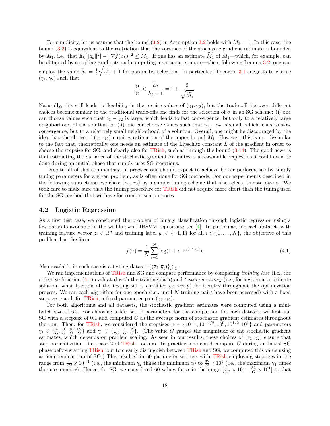For simplicity, let us assume that the bound  $(3.2)$  in Assumption [3.2](#page-5-1) holds with  $M_2 = 1$ . In this case, the bound [\(3.2\)](#page-5-3) is equivalent to the restriction that the variance of the stochastic gradient estimate is bounded by  $M_1$ , i.e., that  $\mathbb{E}_k[\|g_k\|^2] - \|\nabla f(x_k)\|^2 \leq M_1$ . If one has an estimate  $\widetilde{M}_1$  of  $M_1$ —which, for example, can be obtained by sampling gradients and computing a variance estimate—then, following Lemma [3.2,](#page-7-0) one can employ the value  $\widetilde{h}_2 = \frac{1}{2}$  $\sqrt{\widetilde{M}_1} + 1$  for parameter selection. In particular, Theorem [3.1](#page-8-0) suggests to choose  $(\gamma_1, \gamma_2)$  such that

$$
\frac{\gamma_1}{\gamma_2} < \frac{\widetilde{h}_2}{\widetilde{h}_2 - 1} = 1 + \frac{2}{\sqrt{\widetilde{M}_1}}.
$$

Naturally, this still leads to flexibility in the precise values of  $(\gamma_1, \gamma_2)$ , but the trade-offs between different choices become similar to the traditional trade-offs one finds for the selection of  $\alpha$  in an SG scheme: (i) one can choose values such that  $\gamma_1 - \gamma_2$  is large, which leads to fast convergence, but only to a relatively large neighborhood of the solution, or (ii) one can choose values such that  $\gamma_1 - \gamma_2$  is small, which leads to slow convergence, but to a relatively small neighborhood of a solution. Overall, one might be discouraged by the idea that the choice of  $(\gamma_1, \gamma_2)$  requires estimation of the upper bound  $M_1$ . However, this is not dissimilar to the fact that, theoretically, one needs an estimate of the Lipschitz constant L of the gradient in order to choose the stepsize for SG, and clearly also for [TRish,](#page-3-0) such as through the bound [\(3.14\)](#page-8-7). The good news is that estimating the variance of the stochastic gradient estimates is a reasonable request that could even be done during an initial phase that simply uses SG iterations.

Despite all of this commentary, in practice one should expect to achieve better performance by simply tuning parameters for a given problem, as is often done for SG methods. For our experiments described in the following subsections, we chose  $(\gamma_1, \gamma_2)$  by a simple tuning scheme that also selects the stepsize  $\alpha$ . We took care to make sure that the tuning procedure for [TRish](#page-3-0) did not require more effort than the tuning used for the SG method that we have for comparison purposes.

## <span id="page-17-1"></span>4.2 Logistic Regression

As a first test case, we considered the problem of binary classification through logistic regression using a few datasets available in the well-known LIBSVM repository; see [\[4\]](#page-23-13). In particular, for each dataset, with training feature vector  $z_i \in \mathbb{R}^n$  and training label  $y_i \in \{-1,1\}$  for all  $i \in \{1,\ldots,N\}$ , the objective of this problem has the form

<span id="page-17-0"></span>
$$
f(x) = \frac{1}{N} \sum_{i=1}^{N} \log(1 + e^{-y_i(x^T z_i)}).
$$
\n(4.1)

Also available in each case is a testing dataset  $\{(\bar{z}_i, \bar{y}_i)\}_{i=1}^N$ .

We ran implementations of [TRish](#page-3-0) and SG and compare performance by comparing training loss (i.e., the objective function  $(4.1)$  evaluated with the training data) and *testing accuracy* (i.e., for a given approximate solution, what fraction of the testing set is classified correctly) for iterates throughout the optimization process. We ran each algorithm for one epoch (i.e., until N training pairs have been accessed) with a fixed stepsize  $\alpha$  and, for [TRish,](#page-3-0) a fixed parameter pair  $(\gamma_1, \gamma_2)$ .

For both algorithms and all datasets, the stochastic gradient estimates were computed using a minibatch size of 64. For choosing a fair set of parameters for the comparison for each dataset, we first ran SG with a stepsize of 0.1 and computed  $G$  as the average norm of stochastic gradient estimates throughout the run. Then, for [TRish,](#page-3-0) we considered the stepsizes  $\alpha \in \{10^{-1}, 10^{-1/2}, 10^{0}, 10^{1/2}, 10^{1}\}\$  and parameters  $\gamma_1 \in \{\frac{4}{G}, \frac{8}{G}, \frac{16}{G}, \frac{32}{G}\}\$  and  $\gamma_2 \in \{\frac{1}{2G}, \frac{1}{G}, \frac{2}{G}\}\$ . (The value G gauges the magnitude of the stochastic gradient estimates, which depends on problem scaling. As seen in our results, these choices of  $(\gamma_1, \gamma_2)$  ensure that step normalization—i.e., case 2 of [TRish—](#page-3-0)occurs. In practice, one could compute  $G$  during an initial SG phase before starting [TRish,](#page-3-0) but to cleanly distinguish between [TRish](#page-3-0) and SG, we computed this value using an independent run of SG.) This resulted in 60 parameter settings with [TRish](#page-3-0) employing stepsizes in the range from  $\frac{1}{2G} \times 10^{-1}$  (i.e., the minimum  $\gamma_2$  times the minimum  $\alpha$ ) to  $\frac{32}{G} \times 10^{1}$  (i.e., the maximum  $\gamma_1$  times the maximum  $\alpha$ ). Hence, for SG, we considered 60 values for  $\alpha$  in the range  $\left[\frac{1}{2G} \times 10^{-1}, \frac{32}{G} \times 10^{1}\right]$  so that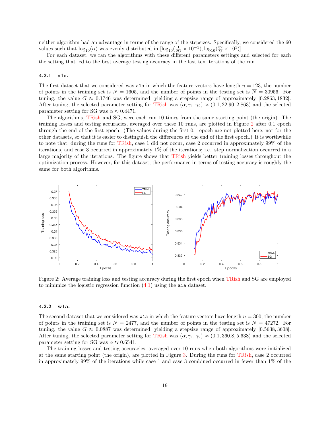neither algorithm had an advantage in terms of the range of the stepsizes. Specifically, we considered the 60 values such that  $\log_{10}(\alpha)$  was evenly distributed in  $[\log_{10}(\frac{1}{2G} \times 10^{-1}), \log_{10}(\frac{32}{G} \times 10^{1})]$ .

For each dataset, we ran the algorithms with these different parameters settings and selected for each the setting that led to the best average testing accuracy in the last ten iterations of the run.

#### 4.2.1 a1a.

The first dataset that we considered was a1a in which the feature vectors have length  $n = 123$ , the number of points in the training set is  $N = 1605$ , and the number of points in the testing set is  $\overline{N} = 30956$ . For tuning, the value  $G \approx 0.1746$  was determined, yielding a stepsize range of approximately [0.2863, 1832]. After tuning, the selected parameter setting for [TRish](#page-3-0) was  $(\alpha, \gamma_1, \gamma_2) \approx (0.1, 22.90, 2.863)$  and the selected parameter setting for SG was  $\alpha \approx 0.4471$ .

The algorithms, [TRish](#page-3-0) and SG, were each run 10 times from the same starting point (the origin). The training losses and testing accuracies, averaged over these 10 runs, are plotted in Figure [2](#page-18-0) after 0.1 epoch through the end of the first epoch. (The values during the first 0.1 epoch are not plotted here, nor for the other datasets, so that it is easier to distinguish the differences at the end of the first epoch.) It is worthwhile to note that, during the runs for [TRish,](#page-3-0) case 1 did not occur, case 2 occurred in approximately 99% of the iterations, and case 3 occurred in approximately 1% of the iterations; i.e., step normalization occurred in a large majority of the iterations. The figure shows that [TRish](#page-3-0) yields better training losses throughout the optimization process. However, for this dataset, the performance in terms of testing accuracy is roughly the same for both algorithms.

<span id="page-18-0"></span>

Figure 2: Average training loss and testing accuracy during the first epoch when [TRish](#page-3-0) and SG are employed to minimize the logistic regression function  $(4.1)$  using the a1a dataset.

#### 4.2.2 w1a.

The second dataset that we considered was **w1a** in which the feature vectors have length  $n = 300$ , the number of points in the training set is  $N = 2477$ , and the number of points in the testing set is  $\overline{N} = 47272$ . For tuning, the value  $G \approx 0.0887$  was determined, yielding a stepsize range of approximately [0.5638, 3608]. After tuning, the selected parameter setting for [TRish](#page-3-0) was  $(\alpha, \gamma_1, \gamma_2) \approx (0.1, 360.8, 5.638)$  and the selected parameter setting for SG was  $\alpha \approx 0.6541$ .

The training losses and testing accuracies, averaged over 10 runs when both algorithms were initialized at the same starting point (the origin), are plotted in Figure [3.](#page-19-0) During the runs for [TRish,](#page-3-0) case 2 occurred in approximately 99% of the iterations while case 1 and case 3 combined occurred in fewer than 1% of the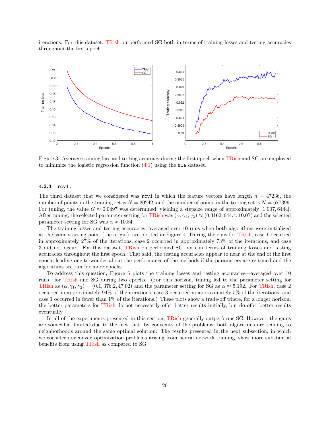iterations. For this dataset, [TRish](#page-3-0) outperformed SG both in terms of training losses and testing accuracies throughout the first epoch.

<span id="page-19-0"></span>

Figure 3: Average training loss and testing accuracy during the first epoch when [TRish](#page-3-0) and SG are employed to minimize the logistic regression function [\(4.1\)](#page-17-0) using the w1a dataset.

#### 4.2.3 rcv1.

The third dataset that we considered was  $\texttt{rcv1}$  in which the feature vectors have length  $n = 47236$ , the number of points in the training set is  $N = 20242$ , and the number of points in the testing set is  $N = 677399$ . For tuning, the value  $G \approx 0.0497$  was determined, yielding a stepsize range of approximately [1.007, 6444]. After tuning, the selected parameter setting for [TRish](#page-3-0) was  $(\alpha, \gamma_1, \gamma_2) \approx (0.3162, 644.4, 10.07)$  and the selected parameter setting for SG was  $\alpha \approx 10.84$ .

The training losses and testing accuracies, averaged over 10 runs when both algorithms were initialized at the same starting point (the origin), are plotted in Figure [4.](#page-20-0) During the runs for [TRish,](#page-3-0) case 1 occurred in approximately 27% of the iterations, case 2 occurred in approximately 73% of the iterations, and case 3 did not occur. For this dataset, [TRish](#page-3-0) outperformed SG both in terms of training losses and testing accuracies throughout the first epoch. That said, the testing accuracies appear to near at the end of the first epoch, leading one to wonder about the performance of the methods if the parameters are re-tuned and the algorithms are run for more epochs.

To address this question, Figure [5](#page-20-1) plots the training losses and testing accuracies—averaged over 10 runs—for [TRish](#page-3-0) and SG during two epochs. (For this horizon, tuning led to the parameter setting for [TRish](#page-3-0) as  $(\alpha, \gamma_1, \gamma_2) = (0.1, 376.2, 47.02)$  and the parameter setting for SG as  $\alpha \approx 5.192$ . For [TRish,](#page-3-0) case 2 occurred in approximately 94% of the iterations, case 3 occurred in approximately 5% of the iterations, and case 1 occurred in fewer than 1% of the iterations.) These plots show a trade-off where, for a longer horizon, the better parameters for [TRish](#page-3-0) do not necessarily offer better results initially, but do offer better results eventually.

In all of the experiments presented in this section, [TRish](#page-3-0) generally outperforms SG. However, the gains are somewhat limited due to the fact that, by convexity of the problems, both algorithms are tending to neighborhoods around the same optimal solution. The results presented in the next subsection, in which we consider nonconvex optimization problems arising from neural network training, show more substantial benefits from using [TRish](#page-3-0) as compared to SG.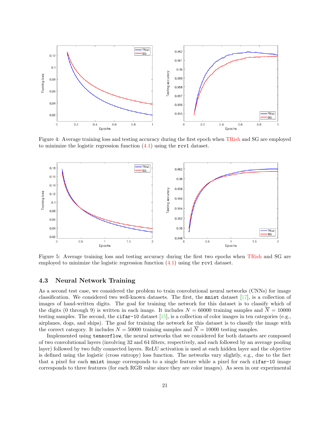<span id="page-20-0"></span>

Figure 4: Average training loss and testing accuracy during the first epoch when [TRish](#page-3-0) and SG are employed to minimize the logistic regression function  $(4.1)$  using the rcv1 dataset.

<span id="page-20-1"></span>

Figure 5: Average training loss and testing accuracy during the first two epochs when [TRish](#page-3-0) and SG are employed to minimize the logistic regression function  $(4.1)$  using the rcv1 dataset.

## 4.3 Neural Network Training

As a second test case, we considered the problem to train convolutional neural networks (CNNs) for image classification. We considered two well-known datasets. The first, the mnist dataset  $[17]$ , is a collection of images of hand-written digits. The goal for training the network for this dataset is to classify which of the digits (0 through 9) is written in each image. It includes  $N = 60000$  training samples and  $\overline{N} = 10000$ testing samples. The second, the  $cifar-10$  dataset [\[15\]](#page-24-8), is a collection of color images in ten categories (e.g., airplanes, dogs, and ships). The goal for training the network for this dataset is to classify the image with the correct category. It includes  $N = 50000$  training samples and  $\overline{N} = 10000$  testing samples.

Implemented using tensorflow, the neural networks that we considered for both datasets are composed of two convolutional layers (involving 32 and 64 filters, respectively, and each followed by an average pooling layer) followed by two fully connected layers. ReLU activation is used at each hidden layer and the objective is defined using the logistic (cross entropy) loss function. The networks vary slightly, e.g., due to the fact that a pixel for each mnist image corresponds to a single feature while a pixel for each cifar-10 image corresponds to three features (for each RGB value since they are color images). As seen in our experimental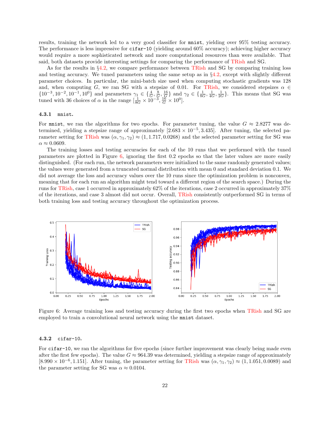results, training the network led to a very good classifier for mnist, yielding over 95% testing accuracy. The performance is less impressive for cifar-10 (yielding around 60% accuracy); achieving higher accuracy would require a more sophisticated network and more computational resources than were available. That said, both datasets provide interesting settings for comparing the performance of [TRish](#page-3-0) and SG.

As for the results in  $\S4.2$ , we compare performance between [TRish](#page-3-0) and SG by comparing training loss and testing accuracy. We tuned parameters using the same setup as in  $\S4.2$ , except with slightly different parameter choices. In particular, the mini-batch size used when computing stochastic gradients was 128 and, when computing G, we ran SG with a stepsize of 0.01. For [TRish,](#page-3-0) we considered stepsizes  $\alpha \in$  $\{10^{-3}, 10^{-2}, 10^{-1}, 10^{0}\}\$ and parameters  $\gamma_1 \in \{\frac{4}{G}, \frac{8}{G}, \frac{16}{G}\}\$ and  $\gamma_2 \in \{\frac{1}{8G}, \frac{1}{4G}, \frac{1}{2G}\}\$ . This means that SG was tuned with 36 choices of  $\alpha$  in the range  $\left[\frac{1}{8G} \times 10^{-3}, \frac{16}{G} \times 10^{0}\right]$ .

#### 4.3.1 mnist.

For mnist, we ran the algorithms for two epochs. For parameter tuning, the value  $G \approx 2.8277$  was determined, yielding a stepsize range of approximately  $[2.683 \times 10^{-5}, 3.435]$ . After tuning, the selected pa-rameter setting for [TRish](#page-3-0) was  $(\alpha, \gamma_1, \gamma_2) \approx (1, 1.717, 0.0268)$  and the selected parameter setting for SG was  $\alpha \approx 0.0609$ .

The training losses and testing accuracies for each of the 10 runs that we performed with the tuned parameters are plotted in Figure  $6$ , ignoring the first 0.2 epochs so that the later values are more easily distinguished. (For each run, the network parameters were initialized to the same randomly generated values; the values were generated from a truncated normal distribution with mean 0 and standard deviation 0.1. We did not average the loss and accuracy values over the 10 runs since the optimization problem is nonconvex, meaning that for each run an algorithm might tend toward a different region of the search space.) During the runs for [TRish,](#page-3-0) case 1 occurred in approximately 62% of the iterations, case 2 occurred in approximately 37% of the iterations, and case 3 almost did not occur. Overall, [TRish](#page-3-0) consistently outperformed SG in terms of both training loss and testing accuracy throughout the optimization process.

<span id="page-21-0"></span>

Figure 6: Average training loss and testing accuracy during the first two epochs when [TRish](#page-3-0) and SG are employed to train a convolutional neural network using the mnist dataset.

#### 4.3.2 cifar-10.

For cifar-10, we ran the algorithms for five epochs (since further improvement was clearly being made even after the first few epochs). The value  $G \approx 964.39$  was determined, yielding a stepsize range of approximately  $[8.990 \times 10^{-6}, 1.151]$ . After tuning, the parameter setting for [TRish](#page-3-0) was  $(\alpha, \gamma_1, \gamma_2) \approx (1, 1.051, 0.0089)$  and the parameter setting for SG was  $\alpha \approx 0.0104$ .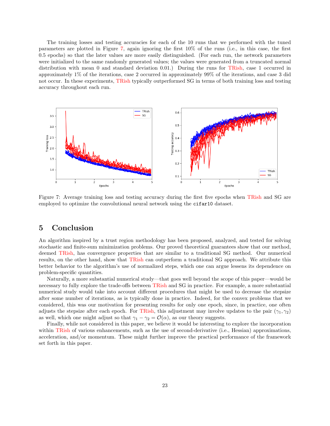The training losses and testing accuracies for each of the 10 runs that we performed with the tuned parameters are plotted in Figure [7,](#page-22-1) again ignoring the first 10% of the runs (i.e., in this case, the first 0.5 epochs) so that the later values are more easily distinguished. (For each run, the network parameters were initialized to the same randomly generated values; the values were generated from a truncated normal distribution with mean 0 and standard deviation 0.01.) During the runs for [TRish,](#page-3-0) case 1 occurred in approximately 1% of the iterations, case 2 occurred in approximately 99% of the iterations, and case 3 did not occur. In these experiments, [TRish](#page-3-0) typically outperformed SG in terms of both training loss and testing accuracy throughout each run.

<span id="page-22-1"></span>

Figure 7: Average training loss and testing accuracy during the first five epochs when [TRish](#page-3-0) and SG are employed to optimize the convolutional neural network using the cifar10 dataset.

## <span id="page-22-0"></span>5 Conclusion

An algorithm inspired by a trust region methodology has been proposed, analyzed, and tested for solving stochastic and finite-sum minimization problems. Our proved theoretical guarantees show that our method, deemed [TRish,](#page-3-0) has convergence properties that are similar to a traditional SG method. Our numerical results, on the other hand, show that [TRish](#page-3-0) can outperform a traditional SG approach. We attribute this better behavior to the algorithm's use of normalized steps, which one can argue lessens its dependence on problem-specific quantities.

Naturally, a more substantial numerical study—that goes well beyond the scope of this paper—would be necessary to fully explore the trade-offs between [TRish](#page-3-0) and SG in practice. For example, a more substantial numerical study would take into account different procedures that might be used to decrease the stepsize after some number of iterations, as is typically done in practice. Indeed, for the convex problems that we considered, this was our motivation for presenting results for only one epoch, since, in practice, one often adjusts the stepsize after each epoch. For [TRish,](#page-3-0) this adjustment may involve updates to the pair  $(\gamma_1, \gamma_2)$ as well, which one might adjust so that  $\gamma_1 - \gamma_2 = \mathcal{O}(\alpha)$ , as our theory suggests.

Finally, while not considered in this paper, we believe it would be interesting to explore the incorporation within [TRish](#page-3-0) of various enhancements, such as the use of second-derivative (i.e., Hessian) approximations, acceleration, and/or momentum. These might further improve the practical performance of the framework set forth in this paper.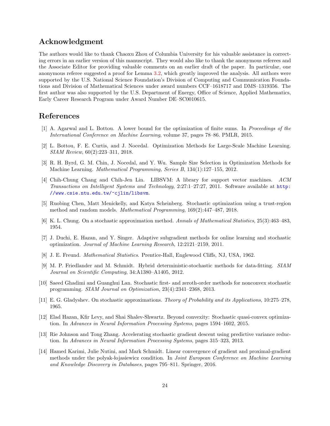## Acknowledgment

The authors would like to thank Chaoxu Zhou of Columbia University for his valuable assistance in correcting errors in an earlier version of this manuscript. They would also like to thank the anonymous referees and the Associate Editor for providing valuable comments on an earlier draft of the paper. In particular, one anonymous referee suggested a proof for Lemma [3.2,](#page-7-0) which greatly improved the analysis. All authors were supported by the U.S. National Science Foundation's Division of Computing and Communication Foundations and Division of Mathematical Sciences under award numbers CCF–1618717 and DMS–1319356. The first author was also supported by the U.S. Department of Energy, Office of Science, Applied Mathematics, Early Career Research Program under Award Number DE–SC0010615.

## References

- <span id="page-23-1"></span>[1] A. Agarwal and L. Bottou. A lower bound for the optimization of finite sums. In Proceedings of the International Conference on Machine Learning, volume 37, pages 78–86. PMLR, 2015.
- <span id="page-23-8"></span>[2] L. Bottou, F. E. Curtis, and J. Nocedal. Optimization Methods for Large-Scale Machine Learning. SIAM Review, 60(2):223–311, 2018.
- <span id="page-23-2"></span>[3] R. H. Byrd, G. M. Chin, J. Nocedal, and Y. Wu. Sample Size Selection in Optimization Methods for Machine Learning. Mathematical Programming, Series B, 134(1):127–155, 2012.
- <span id="page-23-13"></span>[4] Chih-Chung Chang and Chih-Jen Lin. LIBSVM: A library for support vector machines. ACM Transactions on Intelligent Systems and Technology, 2:27:1–27:27, 2011. Software available at [http:](http://www.csie.ntu.edu.tw/~cjlin/libsvm) [//www.csie.ntu.edu.tw/~cjlin/libsvm](http://www.csie.ntu.edu.tw/~cjlin/libsvm).
- <span id="page-23-10"></span>[5] Ruobing Chen, Matt Menickelly, and Katya Scheinberg. Stochastic optimization using a trust-region method and random models. Mathematical Programming, 169(2):447–487, 2018.
- <span id="page-23-3"></span>[6] K. L. Chung. On a stochastic approximation method. Annals of Mathematical Statistics, 25(3):463–483, 1954.
- <span id="page-23-9"></span>[7] J. Duchi, E. Hazan, and Y. Singer. Adaptive subgradient methods for online learning and stochastic optimization. Journal of Machine Learning Research, 12:2121–2159, 2011.
- <span id="page-23-12"></span>[8] J. E. Freund. *Mathematical Statistics*. Prentice-Hall, Englewood Cliffs, NJ, USA, 1962.
- <span id="page-23-4"></span>[9] M. P. Friedlander and M. Schmidt. Hybrid deterministic-stochastic methods for data-fitting. SIAM Journal on Scientific Computing, 34:A1380–A1405, 2012.
- <span id="page-23-5"></span>[10] Saeed Ghadimi and Guanghui Lan. Stochastic first- and zeroth-order methods for nonconvex stochastic programming. SIAM Journal on Optimization, 23(4):2341–2368, 2013.
- <span id="page-23-6"></span>[11] E. G. Gladyshev. On stochastic approximations. Theory of Probability and its Applications, 10:275–278, 1965.
- <span id="page-23-0"></span>[12] Elad Hazan, Kfir Levy, and Shai Shalev-Shwartz. Beyond convexity: Stochastic quasi-convex optimization. In Advances in Neural Information Processing Systems, pages 1594–1602, 2015.
- <span id="page-23-7"></span>[13] Rie Johnson and Tong Zhang. Accelerating stochastic gradient descent using predictive variance reduction. In Advances in Neural Information Processing Systems, pages 315–323, 2013.
- <span id="page-23-11"></span>[14] Hamed Karimi, Julie Nutini, and Mark Schmidt. Linear convergence of gradient and proximal-gradient methods under the polyak-lojasiewicz condition. In Joint European Conference on Machine Learning and Knowledge Discovery in Databases, pages 795–811. Springer, 2016.